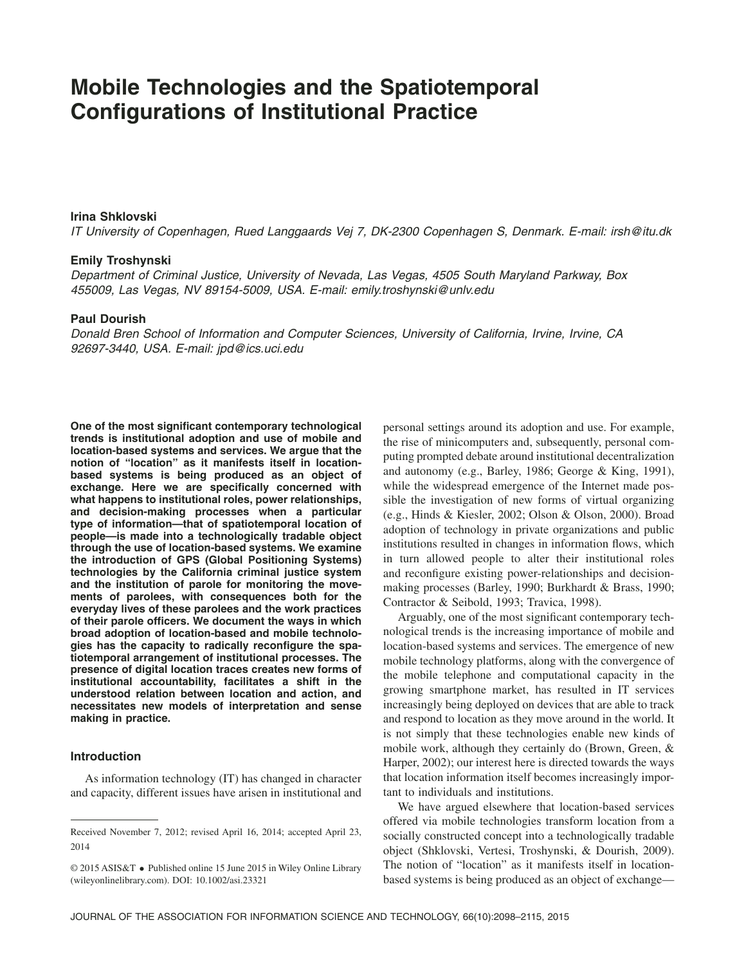# **Mobile Technologies and the Spatiotemporal Configurations of Institutional Practice**

# **Irina Shklovski**

*IT University of Copenhagen, Rued Langgaards Vej 7, DK-2300 Copenhagen S, Denmark. E-mail: [irsh@itu.dk](mailto:irsh@itu.dk)*

#### **Emily Troshynski**

*Department of Criminal Justice, University of Nevada, Las Vegas, 4505 South Maryland Parkway, Box 455009, Las Vegas, NV 89154-5009, USA. E-mail: [emily.troshynski@unlv.edu](mailto:emily.troshynski@unlv.edu)*

# **Paul Dourish**

*Donald Bren School of Information and Computer Sciences, University of California, Irvine, Irvine, CA 92697-3440, USA. E-mail: [jpd@ics.uci.edu](mailto:jpd@ics.uci.edu)*

**One of the most significant contemporary technological trends is institutional adoption and use of mobile and location-based systems and services. We argue that the notion of "location" as it manifests itself in locationbased systems is being produced as an object of exchange. Here we are specifically concerned with what happens to institutional roles, power relationships, and decision-making processes when a particular type of information—that of spatiotemporal location of people—is made into a technologically tradable object through the use of location-based systems. We examine the introduction of GPS (Global Positioning Systems) technologies by the California criminal justice system and the institution of parole for monitoring the movements of parolees, with consequences both for the everyday lives of these parolees and the work practices of their parole officers. We document the ways in which broad adoption of location-based and mobile technologies has the capacity to radically reconfigure the spatiotemporal arrangement of institutional processes. The presence of digital location traces creates new forms of institutional accountability, facilitates a shift in the understood relation between location and action, and necessitates new models of interpretation and sense making in practice.**

# **Introduction**

As information technology (IT) has changed in character and capacity, different issues have arisen in institutional and personal settings around its adoption and use. For example, the rise of minicomputers and, subsequently, personal computing prompted debate around institutional decentralization and autonomy (e.g., Barley, 1986; George & King, 1991), while the widespread emergence of the Internet made possible the investigation of new forms of virtual organizing (e.g., Hinds & Kiesler, 2002; Olson & Olson, 2000). Broad adoption of technology in private organizations and public institutions resulted in changes in information flows, which in turn allowed people to alter their institutional roles and reconfigure existing power-relationships and decisionmaking processes (Barley, 1990; Burkhardt & Brass, 1990; Contractor & Seibold, 1993; Travica, 1998).

Arguably, one of the most significant contemporary technological trends is the increasing importance of mobile and location-based systems and services. The emergence of new mobile technology platforms, along with the convergence of the mobile telephone and computational capacity in the growing smartphone market, has resulted in IT services increasingly being deployed on devices that are able to track and respond to location as they move around in the world. It is not simply that these technologies enable new kinds of mobile work, although they certainly do (Brown, Green, & Harper, 2002); our interest here is directed towards the ways that location information itself becomes increasingly important to individuals and institutions.

We have argued elsewhere that location-based services offered via mobile technologies transform location from a socially constructed concept into a technologically tradable object (Shklovski, Vertesi, Troshynski, & Dourish, 2009). The notion of "location" as it manifests itself in locationbased systems is being produced as an object of exchange—

Received November 7, 2012; revised April 16, 2014; accepted April 23, 2014

<sup>© 2015</sup> ASIS&T • Published online 15 June 2015 in Wiley Online Library [\(wileyonlinelibrary.com\)](http://wileyonlinelibrary.com). DOI: 10.1002/asi.23321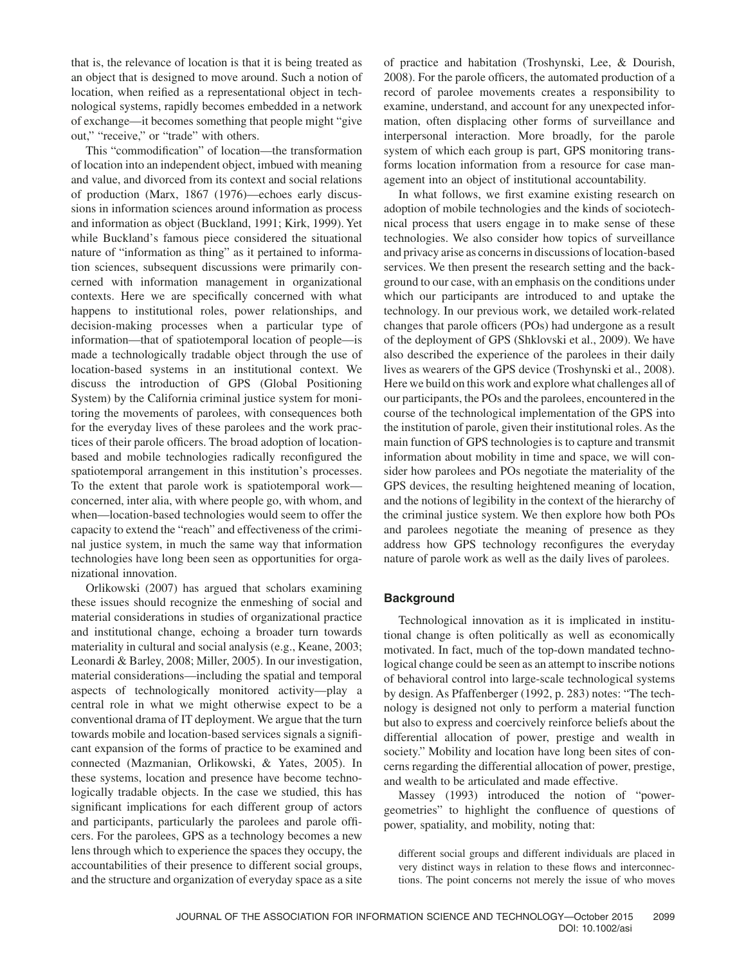that is, the relevance of location is that it is being treated as an object that is designed to move around. Such a notion of location, when reified as a representational object in technological systems, rapidly becomes embedded in a network of exchange—it becomes something that people might "give out," "receive," or "trade" with others.

This "commodification" of location—the transformation of location into an independent object, imbued with meaning and value, and divorced from its context and social relations of production (Marx, 1867 (1976)—echoes early discussions in information sciences around information as process and information as object (Buckland, 1991; Kirk, 1999). Yet while Buckland's famous piece considered the situational nature of "information as thing" as it pertained to information sciences, subsequent discussions were primarily concerned with information management in organizational contexts. Here we are specifically concerned with what happens to institutional roles, power relationships, and decision-making processes when a particular type of information—that of spatiotemporal location of people—is made a technologically tradable object through the use of location-based systems in an institutional context. We discuss the introduction of GPS (Global Positioning System) by the California criminal justice system for monitoring the movements of parolees, with consequences both for the everyday lives of these parolees and the work practices of their parole officers. The broad adoption of locationbased and mobile technologies radically reconfigured the spatiotemporal arrangement in this institution's processes. To the extent that parole work is spatiotemporal work concerned, inter alia, with where people go, with whom, and when—location-based technologies would seem to offer the capacity to extend the "reach" and effectiveness of the criminal justice system, in much the same way that information technologies have long been seen as opportunities for organizational innovation.

Orlikowski (2007) has argued that scholars examining these issues should recognize the enmeshing of social and material considerations in studies of organizational practice and institutional change, echoing a broader turn towards materiality in cultural and social analysis (e.g., Keane, 2003; Leonardi & Barley, 2008; Miller, 2005). In our investigation, material considerations—including the spatial and temporal aspects of technologically monitored activity—play a central role in what we might otherwise expect to be a conventional drama of IT deployment. We argue that the turn towards mobile and location-based services signals a significant expansion of the forms of practice to be examined and connected (Mazmanian, Orlikowski, & Yates, 2005). In these systems, location and presence have become technologically tradable objects. In the case we studied, this has significant implications for each different group of actors and participants, particularly the parolees and parole officers. For the parolees, GPS as a technology becomes a new lens through which to experience the spaces they occupy, the accountabilities of their presence to different social groups, and the structure and organization of everyday space as a site

of practice and habitation (Troshynski, Lee, & Dourish, 2008). For the parole officers, the automated production of a record of parolee movements creates a responsibility to examine, understand, and account for any unexpected information, often displacing other forms of surveillance and interpersonal interaction. More broadly, for the parole system of which each group is part, GPS monitoring transforms location information from a resource for case management into an object of institutional accountability.

In what follows, we first examine existing research on adoption of mobile technologies and the kinds of sociotechnical process that users engage in to make sense of these technologies. We also consider how topics of surveillance and privacy arise as concerns in discussions of location-based services. We then present the research setting and the background to our case, with an emphasis on the conditions under which our participants are introduced to and uptake the technology. In our previous work, we detailed work-related changes that parole officers (POs) had undergone as a result of the deployment of GPS (Shklovski et al., 2009). We have also described the experience of the parolees in their daily lives as wearers of the GPS device (Troshynski et al., 2008). Here we build on this work and explore what challenges all of our participants, the POs and the parolees, encountered in the course of the technological implementation of the GPS into the institution of parole, given their institutional roles. As the main function of GPS technologies is to capture and transmit information about mobility in time and space, we will consider how parolees and POs negotiate the materiality of the GPS devices, the resulting heightened meaning of location, and the notions of legibility in the context of the hierarchy of the criminal justice system. We then explore how both POs and parolees negotiate the meaning of presence as they address how GPS technology reconfigures the everyday nature of parole work as well as the daily lives of parolees.

## **Background**

Technological innovation as it is implicated in institutional change is often politically as well as economically motivated. In fact, much of the top-down mandated technological change could be seen as an attempt to inscribe notions of behavioral control into large-scale technological systems by design. As Pfaffenberger (1992, p. 283) notes: "The technology is designed not only to perform a material function but also to express and coercively reinforce beliefs about the differential allocation of power, prestige and wealth in society." Mobility and location have long been sites of concerns regarding the differential allocation of power, prestige, and wealth to be articulated and made effective.

Massey (1993) introduced the notion of "powergeometries" to highlight the confluence of questions of power, spatiality, and mobility, noting that:

different social groups and different individuals are placed in very distinct ways in relation to these flows and interconnections. The point concerns not merely the issue of who moves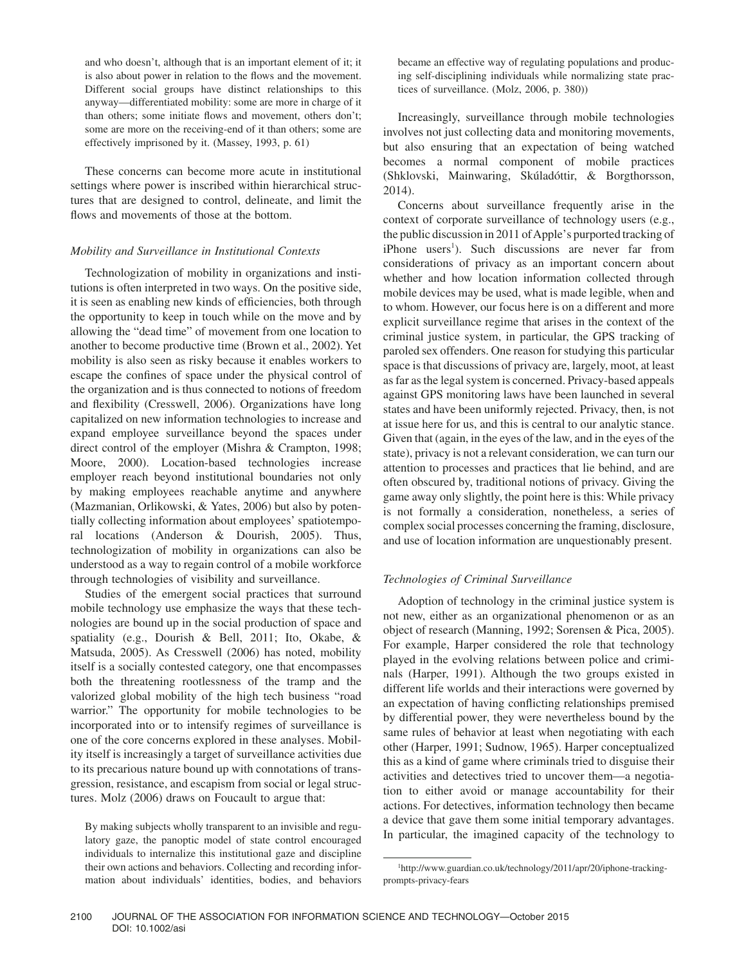and who doesn't, although that is an important element of it; it is also about power in relation to the flows and the movement. Different social groups have distinct relationships to this anyway—differentiated mobility: some are more in charge of it than others; some initiate flows and movement, others don't; some are more on the receiving-end of it than others; some are effectively imprisoned by it. (Massey, 1993, p. 61)

These concerns can become more acute in institutional settings where power is inscribed within hierarchical structures that are designed to control, delineate, and limit the flows and movements of those at the bottom.

#### *Mobility and Surveillance in Institutional Contexts*

Technologization of mobility in organizations and institutions is often interpreted in two ways. On the positive side, it is seen as enabling new kinds of efficiencies, both through the opportunity to keep in touch while on the move and by allowing the "dead time" of movement from one location to another to become productive time (Brown et al., 2002). Yet mobility is also seen as risky because it enables workers to escape the confines of space under the physical control of the organization and is thus connected to notions of freedom and flexibility (Cresswell, 2006). Organizations have long capitalized on new information technologies to increase and expand employee surveillance beyond the spaces under direct control of the employer (Mishra & Crampton, 1998; Moore, 2000). Location-based technologies increase employer reach beyond institutional boundaries not only by making employees reachable anytime and anywhere (Mazmanian, Orlikowski, & Yates, 2006) but also by potentially collecting information about employees' spatiotemporal locations (Anderson & Dourish, 2005). Thus, technologization of mobility in organizations can also be understood as a way to regain control of a mobile workforce through technologies of visibility and surveillance.

Studies of the emergent social practices that surround mobile technology use emphasize the ways that these technologies are bound up in the social production of space and spatiality (e.g., Dourish & Bell, 2011; Ito, Okabe, & Matsuda, 2005). As Cresswell (2006) has noted, mobility itself is a socially contested category, one that encompasses both the threatening rootlessness of the tramp and the valorized global mobility of the high tech business "road warrior." The opportunity for mobile technologies to be incorporated into or to intensify regimes of surveillance is one of the core concerns explored in these analyses. Mobility itself is increasingly a target of surveillance activities due to its precarious nature bound up with connotations of transgression, resistance, and escapism from social or legal structures. Molz (2006) draws on Foucault to argue that:

By making subjects wholly transparent to an invisible and regulatory gaze, the panoptic model of state control encouraged individuals to internalize this institutional gaze and discipline their own actions and behaviors. Collecting and recording information about individuals' identities, bodies, and behaviors became an effective way of regulating populations and producing self-disciplining individuals while normalizing state practices of surveillance. (Molz, 2006, p. 380))

Increasingly, surveillance through mobile technologies involves not just collecting data and monitoring movements, but also ensuring that an expectation of being watched becomes a normal component of mobile practices (Shklovski, Mainwaring, Skúladóttir, & Borgthorsson, 2014).

Concerns about surveillance frequently arise in the context of corporate surveillance of technology users (e.g., the public discussion in 2011 of Apple's purported tracking of iPhone users<sup>1</sup>). Such discussions are never far from considerations of privacy as an important concern about whether and how location information collected through mobile devices may be used, what is made legible, when and to whom. However, our focus here is on a different and more explicit surveillance regime that arises in the context of the criminal justice system, in particular, the GPS tracking of paroled sex offenders. One reason for studying this particular space is that discussions of privacy are, largely, moot, at least as far as the legal system is concerned. Privacy-based appeals against GPS monitoring laws have been launched in several states and have been uniformly rejected. Privacy, then, is not at issue here for us, and this is central to our analytic stance. Given that (again, in the eyes of the law, and in the eyes of the state), privacy is not a relevant consideration, we can turn our attention to processes and practices that lie behind, and are often obscured by, traditional notions of privacy. Giving the game away only slightly, the point here is this: While privacy is not formally a consideration, nonetheless, a series of complex social processes concerning the framing, disclosure, and use of location information are unquestionably present.

## *Technologies of Criminal Surveillance*

Adoption of technology in the criminal justice system is not new, either as an organizational phenomenon or as an object of research (Manning, 1992; Sorensen & Pica, 2005). For example, Harper considered the role that technology played in the evolving relations between police and criminals (Harper, 1991). Although the two groups existed in different life worlds and their interactions were governed by an expectation of having conflicting relationships premised by differential power, they were nevertheless bound by the same rules of behavior at least when negotiating with each other (Harper, 1991; Sudnow, 1965). Harper conceptualized this as a kind of game where criminals tried to disguise their activities and detectives tried to uncover them—a negotiation to either avoid or manage accountability for their actions. For detectives, information technology then became a device that gave them some initial temporary advantages. In particular, the imagined capacity of the technology to

<sup>1</sup> [http://www.guardian.co.uk/technology/2011/apr/20/iphone-tracking](http://www.guardian.co.uk/technology/2011/apr/20/iphone-tracking-prompts-privacy-fears)[prompts-privacy-fears](http://www.guardian.co.uk/technology/2011/apr/20/iphone-tracking-prompts-privacy-fears)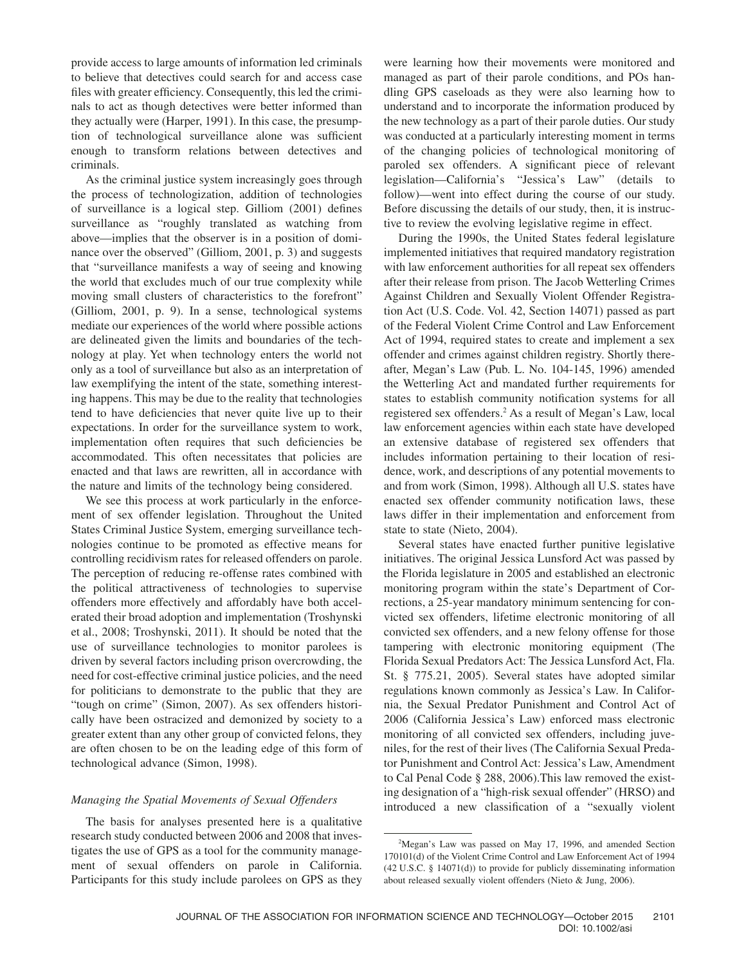provide access to large amounts of information led criminals to believe that detectives could search for and access case files with greater efficiency. Consequently, this led the criminals to act as though detectives were better informed than they actually were (Harper, 1991). In this case, the presumption of technological surveillance alone was sufficient enough to transform relations between detectives and criminals.

As the criminal justice system increasingly goes through the process of technologization, addition of technologies of surveillance is a logical step. Gilliom (2001) defines surveillance as "roughly translated as watching from above—implies that the observer is in a position of dominance over the observed" (Gilliom, 2001, p. 3) and suggests that "surveillance manifests a way of seeing and knowing the world that excludes much of our true complexity while moving small clusters of characteristics to the forefront" (Gilliom, 2001, p. 9). In a sense, technological systems mediate our experiences of the world where possible actions are delineated given the limits and boundaries of the technology at play. Yet when technology enters the world not only as a tool of surveillance but also as an interpretation of law exemplifying the intent of the state, something interesting happens. This may be due to the reality that technologies tend to have deficiencies that never quite live up to their expectations. In order for the surveillance system to work, implementation often requires that such deficiencies be accommodated. This often necessitates that policies are enacted and that laws are rewritten, all in accordance with the nature and limits of the technology being considered.

We see this process at work particularly in the enforcement of sex offender legislation. Throughout the United States Criminal Justice System, emerging surveillance technologies continue to be promoted as effective means for controlling recidivism rates for released offenders on parole. The perception of reducing re-offense rates combined with the political attractiveness of technologies to supervise offenders more effectively and affordably have both accelerated their broad adoption and implementation (Troshynski et al., 2008; Troshynski, 2011). It should be noted that the use of surveillance technologies to monitor parolees is driven by several factors including prison overcrowding, the need for cost-effective criminal justice policies, and the need for politicians to demonstrate to the public that they are "tough on crime" (Simon, 2007). As sex offenders historically have been ostracized and demonized by society to a greater extent than any other group of convicted felons, they are often chosen to be on the leading edge of this form of technological advance (Simon, 1998).

#### *Managing the Spatial Movements of Sexual Offenders*

The basis for analyses presented here is a qualitative research study conducted between 2006 and 2008 that investigates the use of GPS as a tool for the community management of sexual offenders on parole in California. Participants for this study include parolees on GPS as they were learning how their movements were monitored and managed as part of their parole conditions, and POs handling GPS caseloads as they were also learning how to understand and to incorporate the information produced by the new technology as a part of their parole duties. Our study was conducted at a particularly interesting moment in terms of the changing policies of technological monitoring of paroled sex offenders. A significant piece of relevant legislation—California's "Jessica's Law" (details to follow)—went into effect during the course of our study. Before discussing the details of our study, then, it is instructive to review the evolving legislative regime in effect.

During the 1990s, the United States federal legislature implemented initiatives that required mandatory registration with law enforcement authorities for all repeat sex offenders after their release from prison. The Jacob Wetterling Crimes Against Children and Sexually Violent Offender Registration Act (U.S. Code. Vol. 42, Section 14071) passed as part of the Federal Violent Crime Control and Law Enforcement Act of 1994, required states to create and implement a sex offender and crimes against children registry. Shortly thereafter, Megan's Law (Pub. L. No. 104-145, 1996) amended the Wetterling Act and mandated further requirements for states to establish community notification systems for all registered sex offenders.2 As a result of Megan's Law, local law enforcement agencies within each state have developed an extensive database of registered sex offenders that includes information pertaining to their location of residence, work, and descriptions of any potential movements to and from work (Simon, 1998). Although all U.S. states have enacted sex offender community notification laws, these laws differ in their implementation and enforcement from state to state (Nieto, 2004).

Several states have enacted further punitive legislative initiatives. The original Jessica Lunsford Act was passed by the Florida legislature in 2005 and established an electronic monitoring program within the state's Department of Corrections, a 25-year mandatory minimum sentencing for convicted sex offenders, lifetime electronic monitoring of all convicted sex offenders, and a new felony offense for those tampering with electronic monitoring equipment (The Florida Sexual Predators Act: The Jessica Lunsford Act, Fla. St. § 775.21, 2005). Several states have adopted similar regulations known commonly as Jessica's Law. In California, the Sexual Predator Punishment and Control Act of 2006 (California Jessica's Law) enforced mass electronic monitoring of all convicted sex offenders, including juveniles, for the rest of their lives (The California Sexual Predator Punishment and Control Act: Jessica's Law, Amendment to Cal Penal Code § 288, 2006).This law removed the existing designation of a "high-risk sexual offender" (HRSO) and introduced a new classification of a "sexually violent

<sup>&</sup>lt;sup>2</sup>Megan's Law was passed on May 17, 1996, and amended Section 170101(d) of the Violent Crime Control and Law Enforcement Act of 1994 (42 U.S.C. § 14071(d)) to provide for publicly disseminating information about released sexually violent offenders (Nieto & Jung, 2006).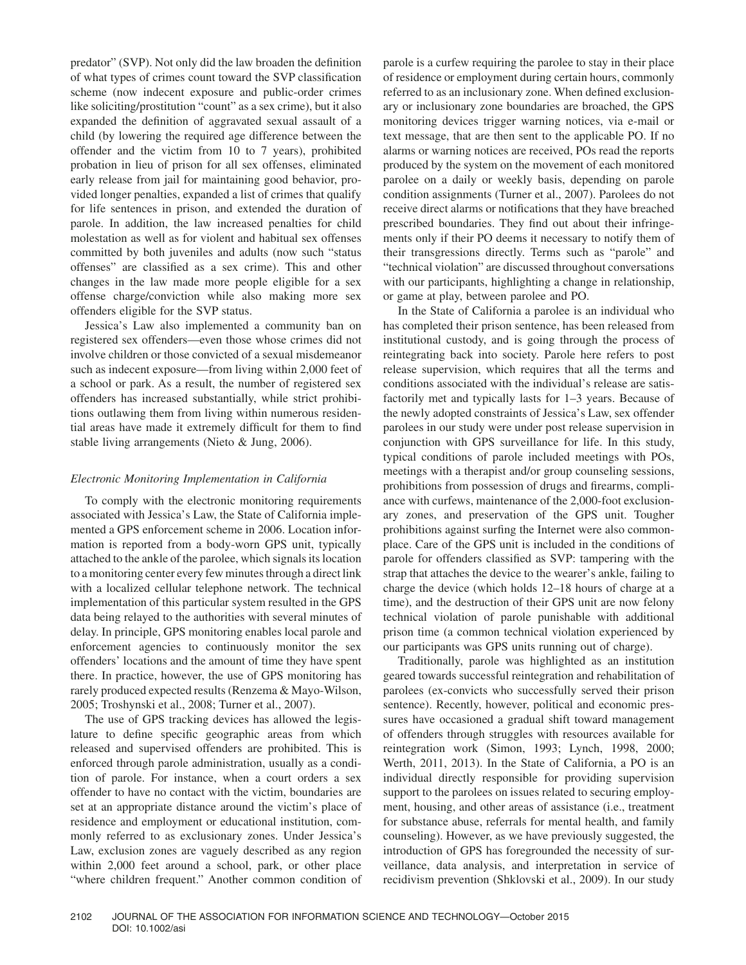predator" (SVP). Not only did the law broaden the definition of what types of crimes count toward the SVP classification scheme (now indecent exposure and public-order crimes like soliciting/prostitution "count" as a sex crime), but it also expanded the definition of aggravated sexual assault of a child (by lowering the required age difference between the offender and the victim from 10 to 7 years), prohibited probation in lieu of prison for all sex offenses, eliminated early release from jail for maintaining good behavior, provided longer penalties, expanded a list of crimes that qualify for life sentences in prison, and extended the duration of parole. In addition, the law increased penalties for child molestation as well as for violent and habitual sex offenses committed by both juveniles and adults (now such "status offenses" are classified as a sex crime). This and other changes in the law made more people eligible for a sex offense charge/conviction while also making more sex offenders eligible for the SVP status.

Jessica's Law also implemented a community ban on registered sex offenders—even those whose crimes did not involve children or those convicted of a sexual misdemeanor such as indecent exposure—from living within 2,000 feet of a school or park. As a result, the number of registered sex offenders has increased substantially, while strict prohibitions outlawing them from living within numerous residential areas have made it extremely difficult for them to find stable living arrangements (Nieto & Jung, 2006).

#### *Electronic Monitoring Implementation in California*

To comply with the electronic monitoring requirements associated with Jessica's Law, the State of California implemented a GPS enforcement scheme in 2006. Location information is reported from a body-worn GPS unit, typically attached to the ankle of the parolee, which signals its location to a monitoring center every few minutes through a direct link with a localized cellular telephone network. The technical implementation of this particular system resulted in the GPS data being relayed to the authorities with several minutes of delay. In principle, GPS monitoring enables local parole and enforcement agencies to continuously monitor the sex offenders' locations and the amount of time they have spent there. In practice, however, the use of GPS monitoring has rarely produced expected results (Renzema & Mayo-Wilson, 2005; Troshynski et al., 2008; Turner et al., 2007).

The use of GPS tracking devices has allowed the legislature to define specific geographic areas from which released and supervised offenders are prohibited. This is enforced through parole administration, usually as a condition of parole. For instance, when a court orders a sex offender to have no contact with the victim, boundaries are set at an appropriate distance around the victim's place of residence and employment or educational institution, commonly referred to as exclusionary zones. Under Jessica's Law, exclusion zones are vaguely described as any region within 2,000 feet around a school, park, or other place "where children frequent." Another common condition of parole is a curfew requiring the parolee to stay in their place of residence or employment during certain hours, commonly referred to as an inclusionary zone. When defined exclusionary or inclusionary zone boundaries are broached, the GPS monitoring devices trigger warning notices, via e-mail or text message, that are then sent to the applicable PO. If no alarms or warning notices are received, POs read the reports produced by the system on the movement of each monitored parolee on a daily or weekly basis, depending on parole condition assignments (Turner et al., 2007). Parolees do not receive direct alarms or notifications that they have breached prescribed boundaries. They find out about their infringements only if their PO deems it necessary to notify them of their transgressions directly. Terms such as "parole" and "technical violation" are discussed throughout conversations with our participants, highlighting a change in relationship, or game at play, between parolee and PO.

In the State of California a parolee is an individual who has completed their prison sentence, has been released from institutional custody, and is going through the process of reintegrating back into society. Parole here refers to post release supervision, which requires that all the terms and conditions associated with the individual's release are satisfactorily met and typically lasts for 1–3 years. Because of the newly adopted constraints of Jessica's Law, sex offender parolees in our study were under post release supervision in conjunction with GPS surveillance for life. In this study, typical conditions of parole included meetings with POs, meetings with a therapist and/or group counseling sessions, prohibitions from possession of drugs and firearms, compliance with curfews, maintenance of the 2,000-foot exclusionary zones, and preservation of the GPS unit. Tougher prohibitions against surfing the Internet were also commonplace. Care of the GPS unit is included in the conditions of parole for offenders classified as SVP: tampering with the strap that attaches the device to the wearer's ankle, failing to charge the device (which holds 12–18 hours of charge at a time), and the destruction of their GPS unit are now felony technical violation of parole punishable with additional prison time (a common technical violation experienced by our participants was GPS units running out of charge).

Traditionally, parole was highlighted as an institution geared towards successful reintegration and rehabilitation of parolees (ex-convicts who successfully served their prison sentence). Recently, however, political and economic pressures have occasioned a gradual shift toward management of offenders through struggles with resources available for reintegration work (Simon, 1993; Lynch, 1998, 2000; Werth, 2011, 2013). In the State of California, a PO is an individual directly responsible for providing supervision support to the parolees on issues related to securing employment, housing, and other areas of assistance (i.e., treatment for substance abuse, referrals for mental health, and family counseling). However, as we have previously suggested, the introduction of GPS has foregrounded the necessity of surveillance, data analysis, and interpretation in service of recidivism prevention (Shklovski et al., 2009). In our study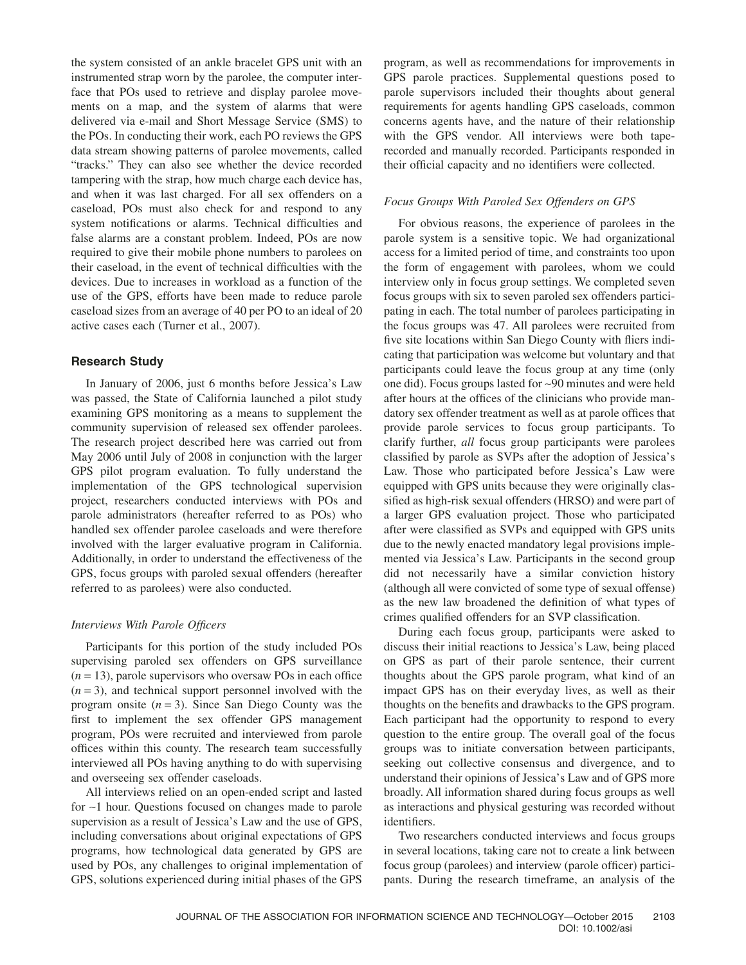the system consisted of an ankle bracelet GPS unit with an instrumented strap worn by the parolee, the computer interface that POs used to retrieve and display parolee movements on a map, and the system of alarms that were delivered via e-mail and Short Message Service (SMS) to the POs. In conducting their work, each PO reviews the GPS data stream showing patterns of parolee movements, called "tracks." They can also see whether the device recorded tampering with the strap, how much charge each device has, and when it was last charged. For all sex offenders on a caseload, POs must also check for and respond to any system notifications or alarms. Technical difficulties and false alarms are a constant problem. Indeed, POs are now required to give their mobile phone numbers to parolees on their caseload, in the event of technical difficulties with the devices. Due to increases in workload as a function of the use of the GPS, efforts have been made to reduce parole caseload sizes from an average of 40 per PO to an ideal of 20 active cases each (Turner et al., 2007).

#### **Research Study**

In January of 2006, just 6 months before Jessica's Law was passed, the State of California launched a pilot study examining GPS monitoring as a means to supplement the community supervision of released sex offender parolees. The research project described here was carried out from May 2006 until July of 2008 in conjunction with the larger GPS pilot program evaluation. To fully understand the implementation of the GPS technological supervision project, researchers conducted interviews with POs and parole administrators (hereafter referred to as POs) who handled sex offender parolee caseloads and were therefore involved with the larger evaluative program in California. Additionally, in order to understand the effectiveness of the GPS, focus groups with paroled sexual offenders (hereafter referred to as parolees) were also conducted.

#### *Interviews With Parole Officers*

Participants for this portion of the study included POs supervising paroled sex offenders on GPS surveillance (*n* = 13), parole supervisors who oversaw POs in each office  $(n=3)$ , and technical support personnel involved with the program onsite  $(n = 3)$ . Since San Diego County was the first to implement the sex offender GPS management program, POs were recruited and interviewed from parole offices within this county. The research team successfully interviewed all POs having anything to do with supervising and overseeing sex offender caseloads.

All interviews relied on an open-ended script and lasted for ∼1 hour. Questions focused on changes made to parole supervision as a result of Jessica's Law and the use of GPS, including conversations about original expectations of GPS programs, how technological data generated by GPS are used by POs, any challenges to original implementation of GPS, solutions experienced during initial phases of the GPS program, as well as recommendations for improvements in GPS parole practices. Supplemental questions posed to parole supervisors included their thoughts about general requirements for agents handling GPS caseloads, common concerns agents have, and the nature of their relationship with the GPS vendor. All interviews were both taperecorded and manually recorded. Participants responded in their official capacity and no identifiers were collected.

#### *Focus Groups With Paroled Sex Offenders on GPS*

For obvious reasons, the experience of parolees in the parole system is a sensitive topic. We had organizational access for a limited period of time, and constraints too upon the form of engagement with parolees, whom we could interview only in focus group settings. We completed seven focus groups with six to seven paroled sex offenders participating in each. The total number of parolees participating in the focus groups was 47. All parolees were recruited from five site locations within San Diego County with fliers indicating that participation was welcome but voluntary and that participants could leave the focus group at any time (only one did). Focus groups lasted for ∼90 minutes and were held after hours at the offices of the clinicians who provide mandatory sex offender treatment as well as at parole offices that provide parole services to focus group participants. To clarify further, *all* focus group participants were parolees classified by parole as SVPs after the adoption of Jessica's Law. Those who participated before Jessica's Law were equipped with GPS units because they were originally classified as high-risk sexual offenders (HRSO) and were part of a larger GPS evaluation project. Those who participated after were classified as SVPs and equipped with GPS units due to the newly enacted mandatory legal provisions implemented via Jessica's Law. Participants in the second group did not necessarily have a similar conviction history (although all were convicted of some type of sexual offense) as the new law broadened the definition of what types of crimes qualified offenders for an SVP classification.

During each focus group, participants were asked to discuss their initial reactions to Jessica's Law, being placed on GPS as part of their parole sentence, their current thoughts about the GPS parole program, what kind of an impact GPS has on their everyday lives, as well as their thoughts on the benefits and drawbacks to the GPS program. Each participant had the opportunity to respond to every question to the entire group. The overall goal of the focus groups was to initiate conversation between participants, seeking out collective consensus and divergence, and to understand their opinions of Jessica's Law and of GPS more broadly. All information shared during focus groups as well as interactions and physical gesturing was recorded without identifiers.

Two researchers conducted interviews and focus groups in several locations, taking care not to create a link between focus group (parolees) and interview (parole officer) participants. During the research timeframe, an analysis of the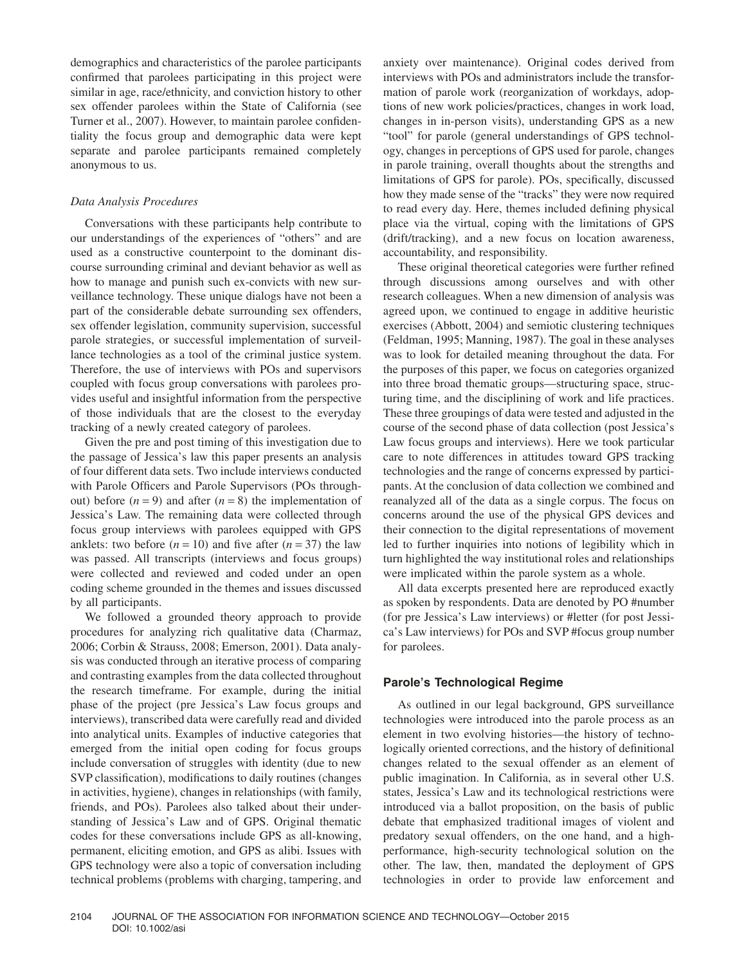demographics and characteristics of the parolee participants confirmed that parolees participating in this project were similar in age, race/ethnicity, and conviction history to other sex offender parolees within the State of California (see Turner et al., 2007). However, to maintain parolee confidentiality the focus group and demographic data were kept separate and parolee participants remained completely anonymous to us.

#### *Data Analysis Procedures*

Conversations with these participants help contribute to our understandings of the experiences of "others" and are used as a constructive counterpoint to the dominant discourse surrounding criminal and deviant behavior as well as how to manage and punish such ex-convicts with new surveillance technology. These unique dialogs have not been a part of the considerable debate surrounding sex offenders, sex offender legislation, community supervision, successful parole strategies, or successful implementation of surveillance technologies as a tool of the criminal justice system. Therefore, the use of interviews with POs and supervisors coupled with focus group conversations with parolees provides useful and insightful information from the perspective of those individuals that are the closest to the everyday tracking of a newly created category of parolees.

Given the pre and post timing of this investigation due to the passage of Jessica's law this paper presents an analysis of four different data sets. Two include interviews conducted with Parole Officers and Parole Supervisors (POs throughout) before  $(n = 9)$  and after  $(n = 8)$  the implementation of Jessica's Law. The remaining data were collected through focus group interviews with parolees equipped with GPS anklets: two before  $(n = 10)$  and five after  $(n = 37)$  the law was passed. All transcripts (interviews and focus groups) were collected and reviewed and coded under an open coding scheme grounded in the themes and issues discussed by all participants.

We followed a grounded theory approach to provide procedures for analyzing rich qualitative data (Charmaz, 2006; Corbin & Strauss, 2008; Emerson, 2001). Data analysis was conducted through an iterative process of comparing and contrasting examples from the data collected throughout the research timeframe. For example, during the initial phase of the project (pre Jessica's Law focus groups and interviews), transcribed data were carefully read and divided into analytical units. Examples of inductive categories that emerged from the initial open coding for focus groups include conversation of struggles with identity (due to new SVP classification), modifications to daily routines (changes in activities, hygiene), changes in relationships (with family, friends, and POs). Parolees also talked about their understanding of Jessica's Law and of GPS. Original thematic codes for these conversations include GPS as all-knowing, permanent, eliciting emotion, and GPS as alibi. Issues with GPS technology were also a topic of conversation including technical problems (problems with charging, tampering, and anxiety over maintenance). Original codes derived from interviews with POs and administrators include the transformation of parole work (reorganization of workdays, adoptions of new work policies/practices, changes in work load, changes in in-person visits), understanding GPS as a new "tool" for parole (general understandings of GPS technology, changes in perceptions of GPS used for parole, changes in parole training, overall thoughts about the strengths and limitations of GPS for parole). POs, specifically, discussed how they made sense of the "tracks" they were now required to read every day. Here, themes included defining physical place via the virtual, coping with the limitations of GPS (drift/tracking), and a new focus on location awareness, accountability, and responsibility.

These original theoretical categories were further refined through discussions among ourselves and with other research colleagues. When a new dimension of analysis was agreed upon, we continued to engage in additive heuristic exercises (Abbott, 2004) and semiotic clustering techniques (Feldman, 1995; Manning, 1987). The goal in these analyses was to look for detailed meaning throughout the data. For the purposes of this paper, we focus on categories organized into three broad thematic groups—structuring space, structuring time, and the disciplining of work and life practices. These three groupings of data were tested and adjusted in the course of the second phase of data collection (post Jessica's Law focus groups and interviews). Here we took particular care to note differences in attitudes toward GPS tracking technologies and the range of concerns expressed by participants. At the conclusion of data collection we combined and reanalyzed all of the data as a single corpus. The focus on concerns around the use of the physical GPS devices and their connection to the digital representations of movement led to further inquiries into notions of legibility which in turn highlighted the way institutional roles and relationships were implicated within the parole system as a whole.

All data excerpts presented here are reproduced exactly as spoken by respondents. Data are denoted by PO #number (for pre Jessica's Law interviews) or #letter (for post Jessica's Law interviews) for POs and SVP #focus group number for parolees.

#### **Parole's Technological Regime**

As outlined in our legal background, GPS surveillance technologies were introduced into the parole process as an element in two evolving histories—the history of technologically oriented corrections, and the history of definitional changes related to the sexual offender as an element of public imagination. In California, as in several other U.S. states, Jessica's Law and its technological restrictions were introduced via a ballot proposition, on the basis of public debate that emphasized traditional images of violent and predatory sexual offenders, on the one hand, and a highperformance, high-security technological solution on the other. The law, then, mandated the deployment of GPS technologies in order to provide law enforcement and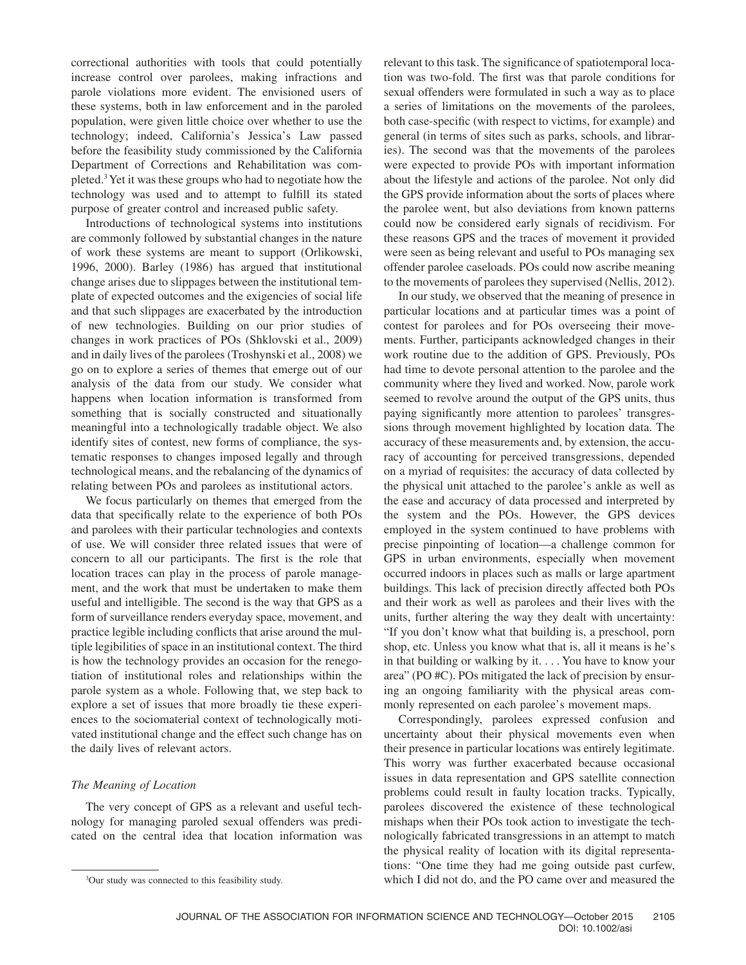correctional authorities with tools that could potentially increase control over parolees, making infractions and parole violations more evident. The envisioned users of these systems, both in law enforcement and in the paroled population, were given little choice over whether to use the technology; indeed, California's Jessica's Law passed before the feasibility study commissioned by the California Department of Corrections and Rehabilitation was completed.3Yet it was these groups who had to negotiate how the technology was used and to attempt to fulfill its stated purpose of greater control and increased public safety.

Introductions of technological systems into institutions are commonly followed by substantial changes in the nature of work these systems are meant to support (Orlikowski, 1996, 2000). Barley (1986) has argued that institutional change arises due to slippages between the institutional template of expected outcomes and the exigencies of social life and that such slippages are exacerbated by the introduction of new technologies. Building on our prior studies of changes in work practices of POs (Shklovski et al., 2009) and in daily lives of the parolees (Troshynski et al., 2008) we go on to explore a series of themes that emerge out of our analysis of the data from our study. We consider what happens when location information is transformed from something that is socially constructed and situationally meaningful into a technologically tradable object. We also identify sites of contest, new forms of compliance, the systematic responses to changes imposed legally and through technological means, and the rebalancing of the dynamics of relating between POs and parolees as institutional actors.

We focus particularly on themes that emerged from the data that specifically relate to the experience of both POs and parolees with their particular technologies and contexts of use. We will consider three related issues that were of concern to all our participants. The first is the role that location traces can play in the process of parole management, and the work that must be undertaken to make them useful and intelligible. The second is the way that GPS as a form of surveillance renders everyday space, movement, and practice legible including conflicts that arise around the multiple legibilities of space in an institutional context. The third is how the technology provides an occasion for the renegotiation of institutional roles and relationships within the parole system as a whole. Following that, we step back to explore a set of issues that more broadly tie these experiences to the sociomaterial context of technologically motivated institutional change and the effect such change has on the daily lives of relevant actors.

## *The Meaning of Location*

The very concept of GPS as a relevant and useful technology for managing paroled sexual offenders was predicated on the central idea that location information was relevant to this task. The significance of spatiotemporal location was two-fold. The first was that parole conditions for sexual offenders were formulated in such a way as to place a series of limitations on the movements of the parolees, both case-specific (with respect to victims, for example) and general (in terms of sites such as parks, schools, and libraries). The second was that the movements of the parolees were expected to provide POs with important information about the lifestyle and actions of the parolee. Not only did the GPS provide information about the sorts of places where the parolee went, but also deviations from known patterns could now be considered early signals of recidivism. For these reasons GPS and the traces of movement it provided were seen as being relevant and useful to POs managing sex offender parolee caseloads. POs could now ascribe meaning to the movements of parolees they supervised (Nellis, 2012).

In our study, we observed that the meaning of presence in particular locations and at particular times was a point of contest for parolees and for POs overseeing their movements. Further, participants acknowledged changes in their work routine due to the addition of GPS. Previously, POs had time to devote personal attention to the parolee and the community where they lived and worked. Now, parole work seemed to revolve around the output of the GPS units, thus paying significantly more attention to parolees' transgressions through movement highlighted by location data. The accuracy of these measurements and, by extension, the accuracy of accounting for perceived transgressions, depended on a myriad of requisites: the accuracy of data collected by the physical unit attached to the parolee's ankle as well as the ease and accuracy of data processed and interpreted by the system and the POs. However, the GPS devices employed in the system continued to have problems with precise pinpointing of location—a challenge common for GPS in urban environments, especially when movement occurred indoors in places such as malls or large apartment buildings. This lack of precision directly affected both POs and their work as well as parolees and their lives with the units, further altering the way they dealt with uncertainty: "If you don't know what that building is, a preschool, porn shop, etc. Unless you know what that is, all it means is he's in that building or walking by it. . . . You have to know your area" (PO #C). POs mitigated the lack of precision by ensuring an ongoing familiarity with the physical areas commonly represented on each parolee's movement maps.

Correspondingly, parolees expressed confusion and uncertainty about their physical movements even when their presence in particular locations was entirely legitimate. This worry was further exacerbated because occasional issues in data representation and GPS satellite connection problems could result in faulty location tracks. Typically, parolees discovered the existence of these technological mishaps when their POs took action to investigate the technologically fabricated transgressions in an attempt to match the physical reality of location with its digital representations: "One time they had me going outside past curfew, which I did not do, and the PO came over and measured the

<sup>&</sup>lt;sup>3</sup>Our study was connected to this feasibility study.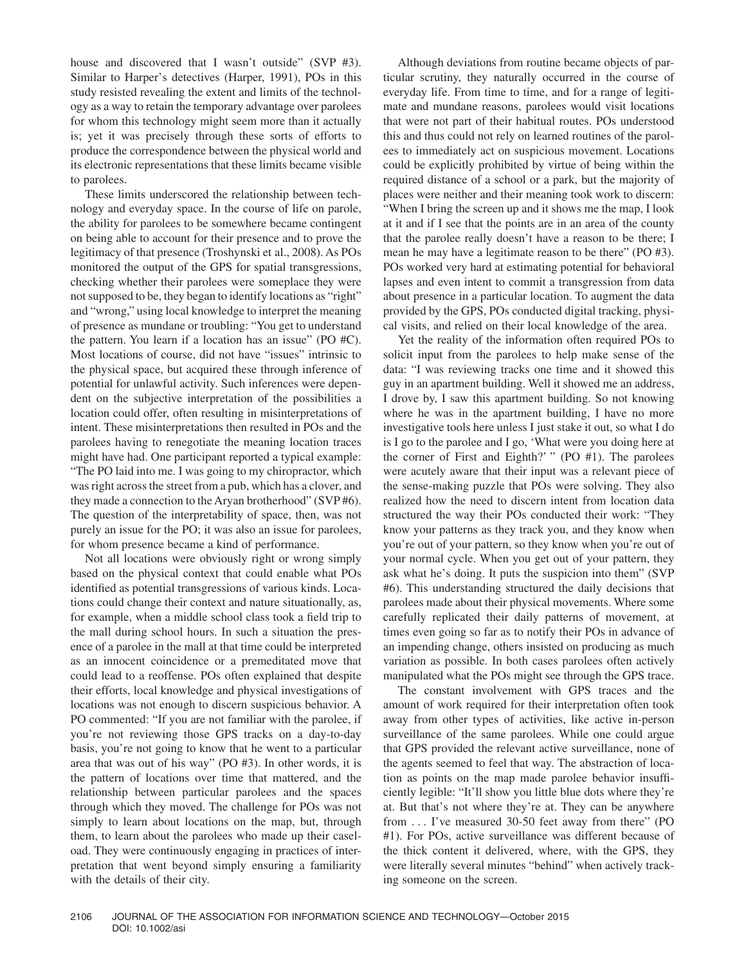house and discovered that I wasn't outside" (SVP #3). Similar to Harper's detectives (Harper, 1991), POs in this study resisted revealing the extent and limits of the technology as a way to retain the temporary advantage over parolees for whom this technology might seem more than it actually is; yet it was precisely through these sorts of efforts to produce the correspondence between the physical world and its electronic representations that these limits became visible to parolees.

These limits underscored the relationship between technology and everyday space. In the course of life on parole, the ability for parolees to be somewhere became contingent on being able to account for their presence and to prove the legitimacy of that presence (Troshynski et al., 2008). As POs monitored the output of the GPS for spatial transgressions, checking whether their parolees were someplace they were not supposed to be, they began to identify locations as "right" and "wrong," using local knowledge to interpret the meaning of presence as mundane or troubling: "You get to understand the pattern. You learn if a location has an issue" (PO #C). Most locations of course, did not have "issues" intrinsic to the physical space, but acquired these through inference of potential for unlawful activity. Such inferences were dependent on the subjective interpretation of the possibilities a location could offer, often resulting in misinterpretations of intent. These misinterpretations then resulted in POs and the parolees having to renegotiate the meaning location traces might have had. One participant reported a typical example: "The PO laid into me. I was going to my chiropractor, which was right across the street from a pub, which has a clover, and they made a connection to the Aryan brotherhood" (SVP #6). The question of the interpretability of space, then, was not purely an issue for the PO; it was also an issue for parolees, for whom presence became a kind of performance.

Not all locations were obviously right or wrong simply based on the physical context that could enable what POs identified as potential transgressions of various kinds. Locations could change their context and nature situationally, as, for example, when a middle school class took a field trip to the mall during school hours. In such a situation the presence of a parolee in the mall at that time could be interpreted as an innocent coincidence or a premeditated move that could lead to a reoffense. POs often explained that despite their efforts, local knowledge and physical investigations of locations was not enough to discern suspicious behavior. A PO commented: "If you are not familiar with the parolee, if you're not reviewing those GPS tracks on a day-to-day basis, you're not going to know that he went to a particular area that was out of his way" (PO #3). In other words, it is the pattern of locations over time that mattered, and the relationship between particular parolees and the spaces through which they moved. The challenge for POs was not simply to learn about locations on the map, but, through them, to learn about the parolees who made up their caseload. They were continuously engaging in practices of interpretation that went beyond simply ensuring a familiarity with the details of their city.

Although deviations from routine became objects of particular scrutiny, they naturally occurred in the course of everyday life. From time to time, and for a range of legitimate and mundane reasons, parolees would visit locations that were not part of their habitual routes. POs understood this and thus could not rely on learned routines of the parolees to immediately act on suspicious movement. Locations could be explicitly prohibited by virtue of being within the required distance of a school or a park, but the majority of places were neither and their meaning took work to discern: "When I bring the screen up and it shows me the map, I look at it and if I see that the points are in an area of the county that the parolee really doesn't have a reason to be there; I mean he may have a legitimate reason to be there" (PO #3). POs worked very hard at estimating potential for behavioral lapses and even intent to commit a transgression from data about presence in a particular location. To augment the data provided by the GPS, POs conducted digital tracking, physical visits, and relied on their local knowledge of the area.

Yet the reality of the information often required POs to solicit input from the parolees to help make sense of the data: "I was reviewing tracks one time and it showed this guy in an apartment building. Well it showed me an address, I drove by, I saw this apartment building. So not knowing where he was in the apartment building, I have no more investigative tools here unless I just stake it out, so what I do is I go to the parolee and I go, 'What were you doing here at the corner of First and Eighth?' " (PO #1). The parolees were acutely aware that their input was a relevant piece of the sense-making puzzle that POs were solving. They also realized how the need to discern intent from location data structured the way their POs conducted their work: "They know your patterns as they track you, and they know when you're out of your pattern, so they know when you're out of your normal cycle. When you get out of your pattern, they ask what he's doing. It puts the suspicion into them" (SVP #6). This understanding structured the daily decisions that parolees made about their physical movements. Where some carefully replicated their daily patterns of movement, at times even going so far as to notify their POs in advance of an impending change, others insisted on producing as much variation as possible. In both cases parolees often actively manipulated what the POs might see through the GPS trace.

The constant involvement with GPS traces and the amount of work required for their interpretation often took away from other types of activities, like active in-person surveillance of the same parolees. While one could argue that GPS provided the relevant active surveillance, none of the agents seemed to feel that way. The abstraction of location as points on the map made parolee behavior insufficiently legible: "It'll show you little blue dots where they're at. But that's not where they're at. They can be anywhere from . . . I've measured 30-50 feet away from there" (PO #1). For POs, active surveillance was different because of the thick content it delivered, where, with the GPS, they were literally several minutes "behind" when actively tracking someone on the screen.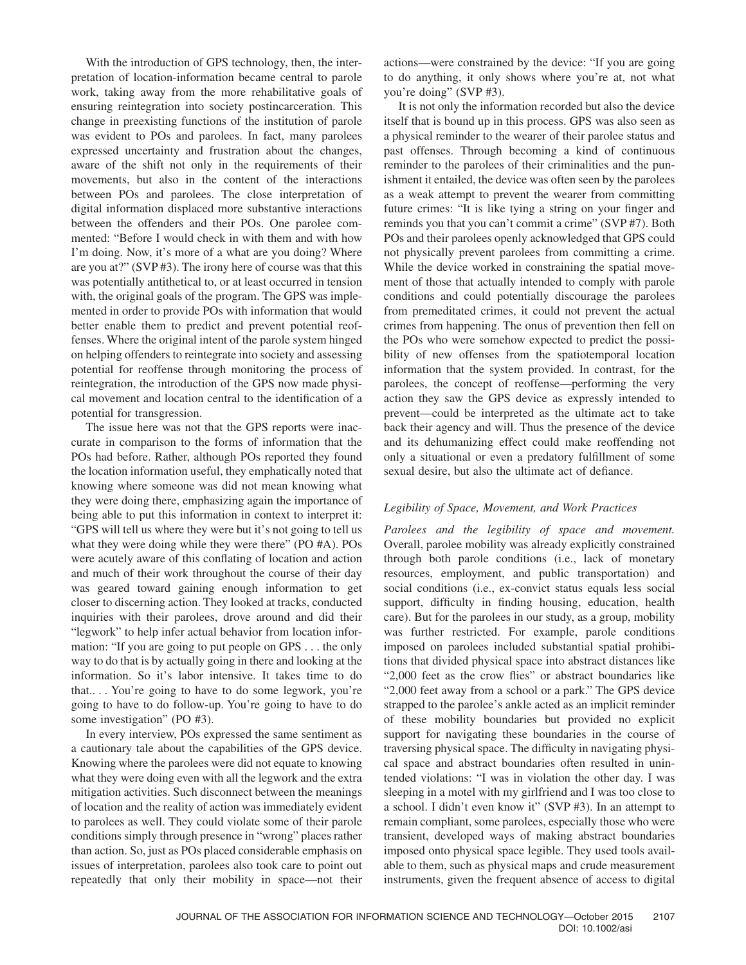With the introduction of GPS technology, then, the interpretation of location-information became central to parole work, taking away from the more rehabilitative goals of ensuring reintegration into society postincarceration. This change in preexisting functions of the institution of parole was evident to POs and parolees. In fact, many parolees expressed uncertainty and frustration about the changes, aware of the shift not only in the requirements of their movements, but also in the content of the interactions between POs and parolees. The close interpretation of digital information displaced more substantive interactions between the offenders and their POs. One parolee commented: "Before I would check in with them and with how I'm doing. Now, it's more of a what are you doing? Where are you at?" (SVP #3). The irony here of course was that this was potentially antithetical to, or at least occurred in tension with, the original goals of the program. The GPS was implemented in order to provide POs with information that would better enable them to predict and prevent potential reoffenses. Where the original intent of the parole system hinged on helping offenders to reintegrate into society and assessing potential for reoffense through monitoring the process of reintegration, the introduction of the GPS now made physical movement and location central to the identification of a potential for transgression.

The issue here was not that the GPS reports were inaccurate in comparison to the forms of information that the POs had before. Rather, although POs reported they found the location information useful, they emphatically noted that knowing where someone was did not mean knowing what they were doing there, emphasizing again the importance of being able to put this information in context to interpret it: "GPS will tell us where they were but it's not going to tell us what they were doing while they were there" (PO #A). POs were acutely aware of this conflating of location and action and much of their work throughout the course of their day was geared toward gaining enough information to get closer to discerning action. They looked at tracks, conducted inquiries with their parolees, drove around and did their "legwork" to help infer actual behavior from location information: "If you are going to put people on GPS . . . the only way to do that is by actually going in there and looking at the information. So it's labor intensive. It takes time to do that.. . . You're going to have to do some legwork, you're going to have to do follow-up. You're going to have to do some investigation" (PO #3).

In every interview, POs expressed the same sentiment as a cautionary tale about the capabilities of the GPS device. Knowing where the parolees were did not equate to knowing what they were doing even with all the legwork and the extra mitigation activities. Such disconnect between the meanings of location and the reality of action was immediately evident to parolees as well. They could violate some of their parole conditions simply through presence in "wrong" places rather than action. So, just as POs placed considerable emphasis on issues of interpretation, parolees also took care to point out repeatedly that only their mobility in space—not their actions—were constrained by the device: "If you are going to do anything, it only shows where you're at, not what you're doing" (SVP #3).

It is not only the information recorded but also the device itself that is bound up in this process. GPS was also seen as a physical reminder to the wearer of their parolee status and past offenses. Through becoming a kind of continuous reminder to the parolees of their criminalities and the punishment it entailed, the device was often seen by the parolees as a weak attempt to prevent the wearer from committing future crimes: "It is like tying a string on your finger and reminds you that you can't commit a crime" (SVP #7). Both POs and their parolees openly acknowledged that GPS could not physically prevent parolees from committing a crime. While the device worked in constraining the spatial movement of those that actually intended to comply with parole conditions and could potentially discourage the parolees from premeditated crimes, it could not prevent the actual crimes from happening. The onus of prevention then fell on the POs who were somehow expected to predict the possibility of new offenses from the spatiotemporal location information that the system provided. In contrast, for the parolees, the concept of reoffense—performing the very action they saw the GPS device as expressly intended to prevent—could be interpreted as the ultimate act to take back their agency and will. Thus the presence of the device and its dehumanizing effect could make reoffending not only a situational or even a predatory fulfillment of some sexual desire, but also the ultimate act of defiance.

## *Legibility of Space, Movement, and Work Practices*

*Parolees and the legibility of space and movement.* Overall, parolee mobility was already explicitly constrained through both parole conditions (i.e., lack of monetary resources, employment, and public transportation) and social conditions (i.e., ex-convict status equals less social support, difficulty in finding housing, education, health care). But for the parolees in our study, as a group, mobility was further restricted. For example, parole conditions imposed on parolees included substantial spatial prohibitions that divided physical space into abstract distances like "2,000 feet as the crow flies" or abstract boundaries like "2,000 feet away from a school or a park." The GPS device strapped to the parolee's ankle acted as an implicit reminder of these mobility boundaries but provided no explicit support for navigating these boundaries in the course of traversing physical space. The difficulty in navigating physical space and abstract boundaries often resulted in unintended violations: "I was in violation the other day. I was sleeping in a motel with my girlfriend and I was too close to a school. I didn't even know it" (SVP #3). In an attempt to remain compliant, some parolees, especially those who were transient, developed ways of making abstract boundaries imposed onto physical space legible. They used tools available to them, such as physical maps and crude measurement instruments, given the frequent absence of access to digital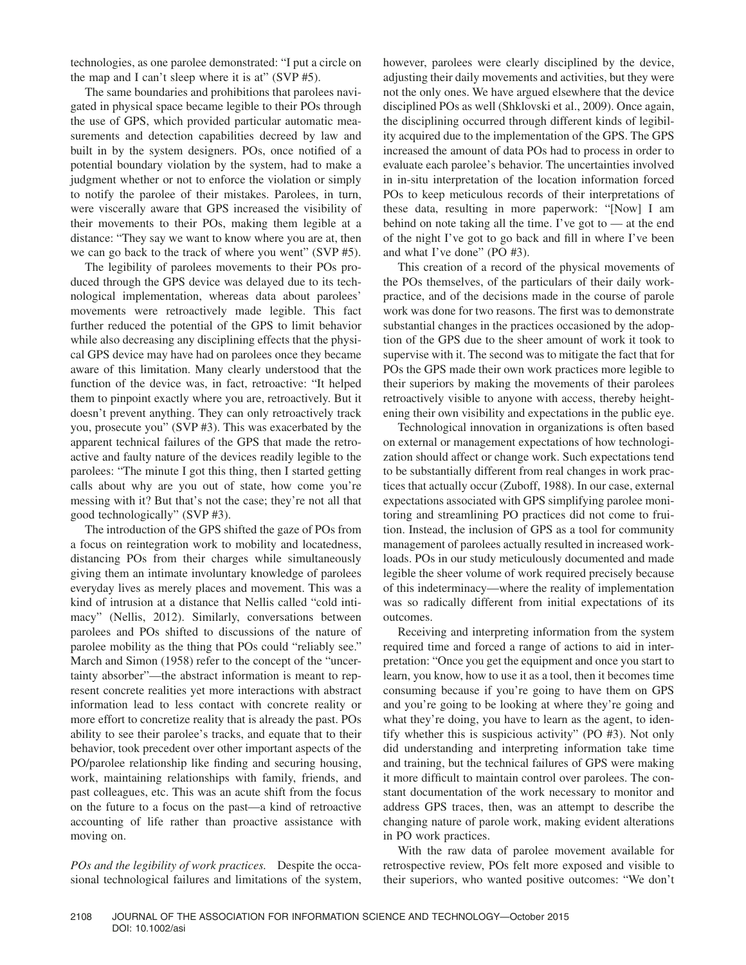technologies, as one parolee demonstrated: "I put a circle on the map and I can't sleep where it is at"  $(SVP #5)$ .

The same boundaries and prohibitions that parolees navigated in physical space became legible to their POs through the use of GPS, which provided particular automatic measurements and detection capabilities decreed by law and built in by the system designers. POs, once notified of a potential boundary violation by the system, had to make a judgment whether or not to enforce the violation or simply to notify the parolee of their mistakes. Parolees, in turn, were viscerally aware that GPS increased the visibility of their movements to their POs, making them legible at a distance: "They say we want to know where you are at, then we can go back to the track of where you went" (SVP #5).

The legibility of parolees movements to their POs produced through the GPS device was delayed due to its technological implementation, whereas data about parolees' movements were retroactively made legible. This fact further reduced the potential of the GPS to limit behavior while also decreasing any disciplining effects that the physical GPS device may have had on parolees once they became aware of this limitation. Many clearly understood that the function of the device was, in fact, retroactive: "It helped them to pinpoint exactly where you are, retroactively. But it doesn't prevent anything. They can only retroactively track you, prosecute you" (SVP #3). This was exacerbated by the apparent technical failures of the GPS that made the retroactive and faulty nature of the devices readily legible to the parolees: "The minute I got this thing, then I started getting calls about why are you out of state, how come you're messing with it? But that's not the case; they're not all that good technologically" (SVP #3).

The introduction of the GPS shifted the gaze of POs from a focus on reintegration work to mobility and locatedness, distancing POs from their charges while simultaneously giving them an intimate involuntary knowledge of parolees everyday lives as merely places and movement. This was a kind of intrusion at a distance that Nellis called "cold intimacy" (Nellis, 2012). Similarly, conversations between parolees and POs shifted to discussions of the nature of parolee mobility as the thing that POs could "reliably see." March and Simon (1958) refer to the concept of the "uncertainty absorber"—the abstract information is meant to represent concrete realities yet more interactions with abstract information lead to less contact with concrete reality or more effort to concretize reality that is already the past. POs ability to see their parolee's tracks, and equate that to their behavior, took precedent over other important aspects of the PO/parolee relationship like finding and securing housing, work, maintaining relationships with family, friends, and past colleagues, etc. This was an acute shift from the focus on the future to a focus on the past—a kind of retroactive accounting of life rather than proactive assistance with moving on.

*POs and the legibility of work practices.* Despite the occasional technological failures and limitations of the system, however, parolees were clearly disciplined by the device, adjusting their daily movements and activities, but they were not the only ones. We have argued elsewhere that the device disciplined POs as well (Shklovski et al., 2009). Once again, the disciplining occurred through different kinds of legibility acquired due to the implementation of the GPS. The GPS increased the amount of data POs had to process in order to evaluate each parolee's behavior. The uncertainties involved in in-situ interpretation of the location information forced POs to keep meticulous records of their interpretations of these data, resulting in more paperwork: "[Now] I am behind on note taking all the time. I've got to — at the end of the night I've got to go back and fill in where I've been and what I've done" (PO #3).

This creation of a record of the physical movements of the POs themselves, of the particulars of their daily workpractice, and of the decisions made in the course of parole work was done for two reasons. The first was to demonstrate substantial changes in the practices occasioned by the adoption of the GPS due to the sheer amount of work it took to supervise with it. The second was to mitigate the fact that for POs the GPS made their own work practices more legible to their superiors by making the movements of their parolees retroactively visible to anyone with access, thereby heightening their own visibility and expectations in the public eye.

Technological innovation in organizations is often based on external or management expectations of how technologization should affect or change work. Such expectations tend to be substantially different from real changes in work practices that actually occur (Zuboff, 1988). In our case, external expectations associated with GPS simplifying parolee monitoring and streamlining PO practices did not come to fruition. Instead, the inclusion of GPS as a tool for community management of parolees actually resulted in increased workloads. POs in our study meticulously documented and made legible the sheer volume of work required precisely because of this indeterminacy—where the reality of implementation was so radically different from initial expectations of its outcomes.

Receiving and interpreting information from the system required time and forced a range of actions to aid in interpretation: "Once you get the equipment and once you start to learn, you know, how to use it as a tool, then it becomes time consuming because if you're going to have them on GPS and you're going to be looking at where they're going and what they're doing, you have to learn as the agent, to identify whether this is suspicious activity" (PO #3). Not only did understanding and interpreting information take time and training, but the technical failures of GPS were making it more difficult to maintain control over parolees. The constant documentation of the work necessary to monitor and address GPS traces, then, was an attempt to describe the changing nature of parole work, making evident alterations in PO work practices.

With the raw data of parolee movement available for retrospective review, POs felt more exposed and visible to their superiors, who wanted positive outcomes: "We don't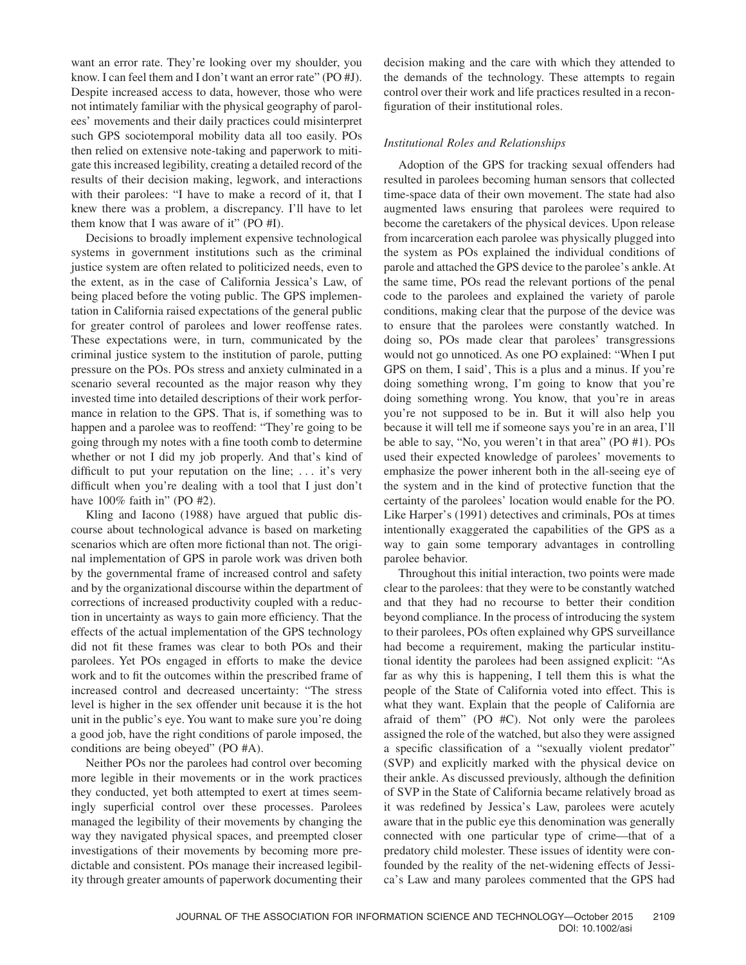want an error rate. They're looking over my shoulder, you know. I can feel them and I don't want an error rate" (PO #J). Despite increased access to data, however, those who were not intimately familiar with the physical geography of parolees' movements and their daily practices could misinterpret such GPS sociotemporal mobility data all too easily. POs then relied on extensive note-taking and paperwork to mitigate this increased legibility, creating a detailed record of the results of their decision making, legwork, and interactions with their parolees: "I have to make a record of it, that I knew there was a problem, a discrepancy. I'll have to let them know that I was aware of it" (PO #I).

Decisions to broadly implement expensive technological systems in government institutions such as the criminal justice system are often related to politicized needs, even to the extent, as in the case of California Jessica's Law, of being placed before the voting public. The GPS implementation in California raised expectations of the general public for greater control of parolees and lower reoffense rates. These expectations were, in turn, communicated by the criminal justice system to the institution of parole, putting pressure on the POs. POs stress and anxiety culminated in a scenario several recounted as the major reason why they invested time into detailed descriptions of their work performance in relation to the GPS. That is, if something was to happen and a parolee was to reoffend: "They're going to be going through my notes with a fine tooth comb to determine whether or not I did my job properly. And that's kind of difficult to put your reputation on the line; . . . it's very difficult when you're dealing with a tool that I just don't have 100% faith in" (PO #2).

Kling and Iacono (1988) have argued that public discourse about technological advance is based on marketing scenarios which are often more fictional than not. The original implementation of GPS in parole work was driven both by the governmental frame of increased control and safety and by the organizational discourse within the department of corrections of increased productivity coupled with a reduction in uncertainty as ways to gain more efficiency. That the effects of the actual implementation of the GPS technology did not fit these frames was clear to both POs and their parolees. Yet POs engaged in efforts to make the device work and to fit the outcomes within the prescribed frame of increased control and decreased uncertainty: "The stress level is higher in the sex offender unit because it is the hot unit in the public's eye. You want to make sure you're doing a good job, have the right conditions of parole imposed, the conditions are being obeyed" (PO #A).

Neither POs nor the parolees had control over becoming more legible in their movements or in the work practices they conducted, yet both attempted to exert at times seemingly superficial control over these processes. Parolees managed the legibility of their movements by changing the way they navigated physical spaces, and preempted closer investigations of their movements by becoming more predictable and consistent. POs manage their increased legibility through greater amounts of paperwork documenting their

decision making and the care with which they attended to the demands of the technology. These attempts to regain control over their work and life practices resulted in a reconfiguration of their institutional roles.

# *Institutional Roles and Relationships*

Adoption of the GPS for tracking sexual offenders had resulted in parolees becoming human sensors that collected time-space data of their own movement. The state had also augmented laws ensuring that parolees were required to become the caretakers of the physical devices. Upon release from incarceration each parolee was physically plugged into the system as POs explained the individual conditions of parole and attached the GPS device to the parolee's ankle. At the same time, POs read the relevant portions of the penal code to the parolees and explained the variety of parole conditions, making clear that the purpose of the device was to ensure that the parolees were constantly watched. In doing so, POs made clear that parolees' transgressions would not go unnoticed. As one PO explained: "When I put GPS on them, I said', This is a plus and a minus. If you're doing something wrong, I'm going to know that you're doing something wrong. You know, that you're in areas you're not supposed to be in. But it will also help you because it will tell me if someone says you're in an area, I'll be able to say, "No, you weren't in that area" (PO #1). POs used their expected knowledge of parolees' movements to emphasize the power inherent both in the all-seeing eye of the system and in the kind of protective function that the certainty of the parolees' location would enable for the PO. Like Harper's (1991) detectives and criminals, POs at times intentionally exaggerated the capabilities of the GPS as a way to gain some temporary advantages in controlling parolee behavior.

Throughout this initial interaction, two points were made clear to the parolees: that they were to be constantly watched and that they had no recourse to better their condition beyond compliance. In the process of introducing the system to their parolees, POs often explained why GPS surveillance had become a requirement, making the particular institutional identity the parolees had been assigned explicit: "As far as why this is happening, I tell them this is what the people of the State of California voted into effect. This is what they want. Explain that the people of California are afraid of them" (PO #C). Not only were the parolees assigned the role of the watched, but also they were assigned a specific classification of a "sexually violent predator" (SVP) and explicitly marked with the physical device on their ankle. As discussed previously, although the definition of SVP in the State of California became relatively broad as it was redefined by Jessica's Law, parolees were acutely aware that in the public eye this denomination was generally connected with one particular type of crime—that of a predatory child molester. These issues of identity were confounded by the reality of the net-widening effects of Jessica's Law and many parolees commented that the GPS had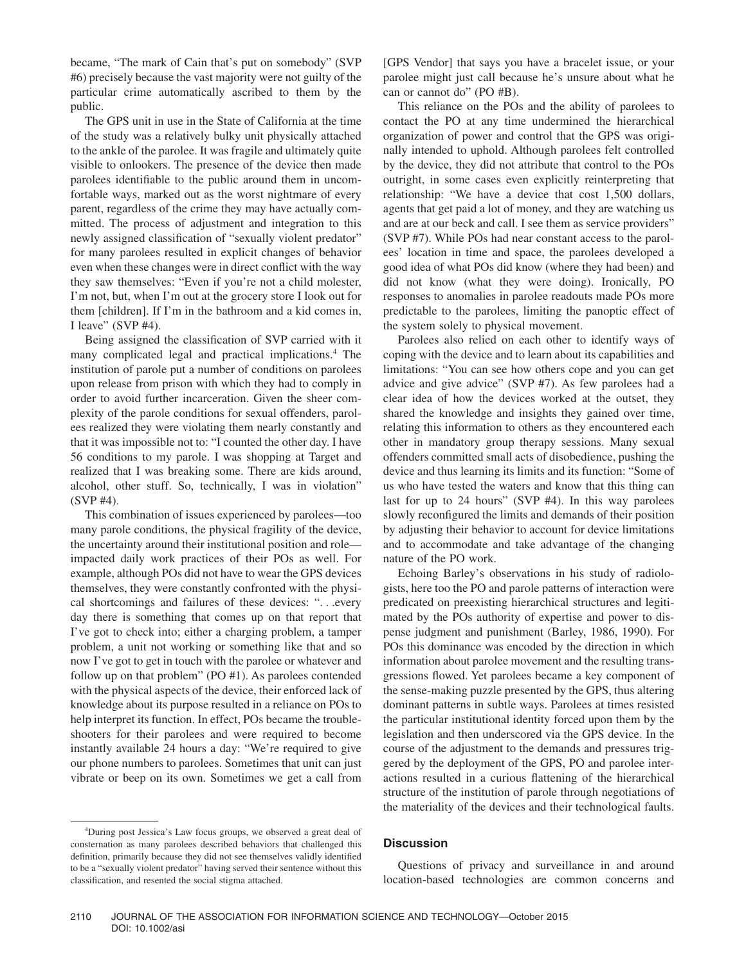became, "The mark of Cain that's put on somebody" (SVP #6) precisely because the vast majority were not guilty of the particular crime automatically ascribed to them by the public.

The GPS unit in use in the State of California at the time of the study was a relatively bulky unit physically attached to the ankle of the parolee. It was fragile and ultimately quite visible to onlookers. The presence of the device then made parolees identifiable to the public around them in uncomfortable ways, marked out as the worst nightmare of every parent, regardless of the crime they may have actually committed. The process of adjustment and integration to this newly assigned classification of "sexually violent predator" for many parolees resulted in explicit changes of behavior even when these changes were in direct conflict with the way they saw themselves: "Even if you're not a child molester, I'm not, but, when I'm out at the grocery store I look out for them [children]. If I'm in the bathroom and a kid comes in, I leave"  $(SVP #4)$ .

Being assigned the classification of SVP carried with it many complicated legal and practical implications.<sup>4</sup> The institution of parole put a number of conditions on parolees upon release from prison with which they had to comply in order to avoid further incarceration. Given the sheer complexity of the parole conditions for sexual offenders, parolees realized they were violating them nearly constantly and that it was impossible not to: "I counted the other day. I have 56 conditions to my parole. I was shopping at Target and realized that I was breaking some. There are kids around, alcohol, other stuff. So, technically, I was in violation" (SVP #4).

This combination of issues experienced by parolees—too many parole conditions, the physical fragility of the device, the uncertainty around their institutional position and role impacted daily work practices of their POs as well. For example, although POs did not have to wear the GPS devices themselves, they were constantly confronted with the physical shortcomings and failures of these devices: ". . .every day there is something that comes up on that report that I've got to check into; either a charging problem, a tamper problem, a unit not working or something like that and so now I've got to get in touch with the parolee or whatever and follow up on that problem" (PO #1). As parolees contended with the physical aspects of the device, their enforced lack of knowledge about its purpose resulted in a reliance on POs to help interpret its function. In effect, POs became the troubleshooters for their parolees and were required to become instantly available 24 hours a day: "We're required to give our phone numbers to parolees. Sometimes that unit can just vibrate or beep on its own. Sometimes we get a call from

<sup>4</sup>During post Jessica's Law focus groups, we observed a great deal of consternation as many parolees described behaviors that challenged this definition, primarily because they did not see themselves validly identified to be a "sexually violent predator" having served their sentence without this classification, and resented the social stigma attached.

[GPS Vendor] that says you have a bracelet issue, or your parolee might just call because he's unsure about what he can or cannot do" (PO #B).

This reliance on the POs and the ability of parolees to contact the PO at any time undermined the hierarchical organization of power and control that the GPS was originally intended to uphold. Although parolees felt controlled by the device, they did not attribute that control to the POs outright, in some cases even explicitly reinterpreting that relationship: "We have a device that cost 1,500 dollars, agents that get paid a lot of money, and they are watching us and are at our beck and call. I see them as service providers" (SVP #7). While POs had near constant access to the parolees' location in time and space, the parolees developed a good idea of what POs did know (where they had been) and did not know (what they were doing). Ironically, PO responses to anomalies in parolee readouts made POs more predictable to the parolees, limiting the panoptic effect of the system solely to physical movement.

Parolees also relied on each other to identify ways of coping with the device and to learn about its capabilities and limitations: "You can see how others cope and you can get advice and give advice" (SVP #7). As few parolees had a clear idea of how the devices worked at the outset, they shared the knowledge and insights they gained over time, relating this information to others as they encountered each other in mandatory group therapy sessions. Many sexual offenders committed small acts of disobedience, pushing the device and thus learning its limits and its function: "Some of us who have tested the waters and know that this thing can last for up to 24 hours" (SVP #4). In this way parolees slowly reconfigured the limits and demands of their position by adjusting their behavior to account for device limitations and to accommodate and take advantage of the changing nature of the PO work.

Echoing Barley's observations in his study of radiologists, here too the PO and parole patterns of interaction were predicated on preexisting hierarchical structures and legitimated by the POs authority of expertise and power to dispense judgment and punishment (Barley, 1986, 1990). For POs this dominance was encoded by the direction in which information about parolee movement and the resulting transgressions flowed. Yet parolees became a key component of the sense-making puzzle presented by the GPS, thus altering dominant patterns in subtle ways. Parolees at times resisted the particular institutional identity forced upon them by the legislation and then underscored via the GPS device. In the course of the adjustment to the demands and pressures triggered by the deployment of the GPS, PO and parolee interactions resulted in a curious flattening of the hierarchical structure of the institution of parole through negotiations of the materiality of the devices and their technological faults.

# **Discussion**

Questions of privacy and surveillance in and around location-based technologies are common concerns and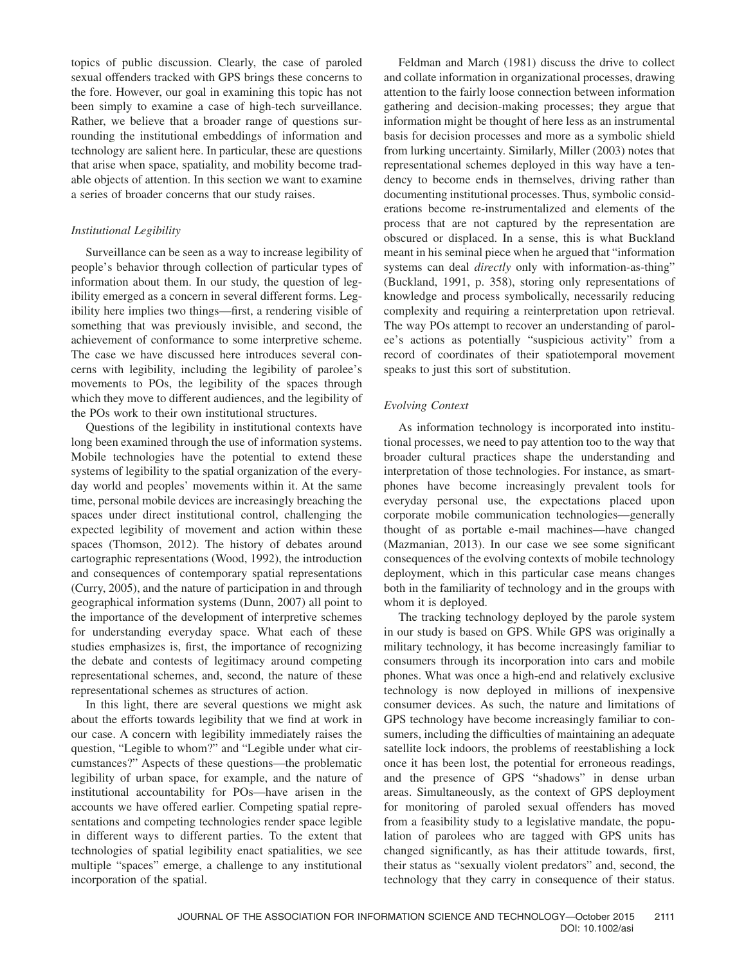topics of public discussion. Clearly, the case of paroled sexual offenders tracked with GPS brings these concerns to the fore. However, our goal in examining this topic has not been simply to examine a case of high-tech surveillance. Rather, we believe that a broader range of questions surrounding the institutional embeddings of information and technology are salient here. In particular, these are questions that arise when space, spatiality, and mobility become tradable objects of attention. In this section we want to examine a series of broader concerns that our study raises.

## *Institutional Legibility*

Surveillance can be seen as a way to increase legibility of people's behavior through collection of particular types of information about them. In our study, the question of legibility emerged as a concern in several different forms. Legibility here implies two things—first, a rendering visible of something that was previously invisible, and second, the achievement of conformance to some interpretive scheme. The case we have discussed here introduces several concerns with legibility, including the legibility of parolee's movements to POs, the legibility of the spaces through which they move to different audiences, and the legibility of the POs work to their own institutional structures.

Questions of the legibility in institutional contexts have long been examined through the use of information systems. Mobile technologies have the potential to extend these systems of legibility to the spatial organization of the everyday world and peoples' movements within it. At the same time, personal mobile devices are increasingly breaching the spaces under direct institutional control, challenging the expected legibility of movement and action within these spaces (Thomson, 2012). The history of debates around cartographic representations (Wood, 1992), the introduction and consequences of contemporary spatial representations (Curry, 2005), and the nature of participation in and through geographical information systems (Dunn, 2007) all point to the importance of the development of interpretive schemes for understanding everyday space. What each of these studies emphasizes is, first, the importance of recognizing the debate and contests of legitimacy around competing representational schemes, and, second, the nature of these representational schemes as structures of action.

In this light, there are several questions we might ask about the efforts towards legibility that we find at work in our case. A concern with legibility immediately raises the question, "Legible to whom?" and "Legible under what circumstances?" Aspects of these questions—the problematic legibility of urban space, for example, and the nature of institutional accountability for POs—have arisen in the accounts we have offered earlier. Competing spatial representations and competing technologies render space legible in different ways to different parties. To the extent that technologies of spatial legibility enact spatialities, we see multiple "spaces" emerge, a challenge to any institutional incorporation of the spatial.

Feldman and March (1981) discuss the drive to collect and collate information in organizational processes, drawing attention to the fairly loose connection between information gathering and decision-making processes; they argue that information might be thought of here less as an instrumental basis for decision processes and more as a symbolic shield from lurking uncertainty. Similarly, Miller (2003) notes that representational schemes deployed in this way have a tendency to become ends in themselves, driving rather than documenting institutional processes. Thus, symbolic considerations become re-instrumentalized and elements of the process that are not captured by the representation are obscured or displaced. In a sense, this is what Buckland meant in his seminal piece when he argued that "information systems can deal *directly* only with information-as-thing" (Buckland, 1991, p. 358), storing only representations of knowledge and process symbolically, necessarily reducing complexity and requiring a reinterpretation upon retrieval. The way POs attempt to recover an understanding of parolee's actions as potentially "suspicious activity" from a record of coordinates of their spatiotemporal movement speaks to just this sort of substitution.

# *Evolving Context*

As information technology is incorporated into institutional processes, we need to pay attention too to the way that broader cultural practices shape the understanding and interpretation of those technologies. For instance, as smartphones have become increasingly prevalent tools for everyday personal use, the expectations placed upon corporate mobile communication technologies—generally thought of as portable e-mail machines—have changed (Mazmanian, 2013). In our case we see some significant consequences of the evolving contexts of mobile technology deployment, which in this particular case means changes both in the familiarity of technology and in the groups with whom it is deployed.

The tracking technology deployed by the parole system in our study is based on GPS. While GPS was originally a military technology, it has become increasingly familiar to consumers through its incorporation into cars and mobile phones. What was once a high-end and relatively exclusive technology is now deployed in millions of inexpensive consumer devices. As such, the nature and limitations of GPS technology have become increasingly familiar to consumers, including the difficulties of maintaining an adequate satellite lock indoors, the problems of reestablishing a lock once it has been lost, the potential for erroneous readings, and the presence of GPS "shadows" in dense urban areas. Simultaneously, as the context of GPS deployment for monitoring of paroled sexual offenders has moved from a feasibility study to a legislative mandate, the population of parolees who are tagged with GPS units has changed significantly, as has their attitude towards, first, their status as "sexually violent predators" and, second, the technology that they carry in consequence of their status.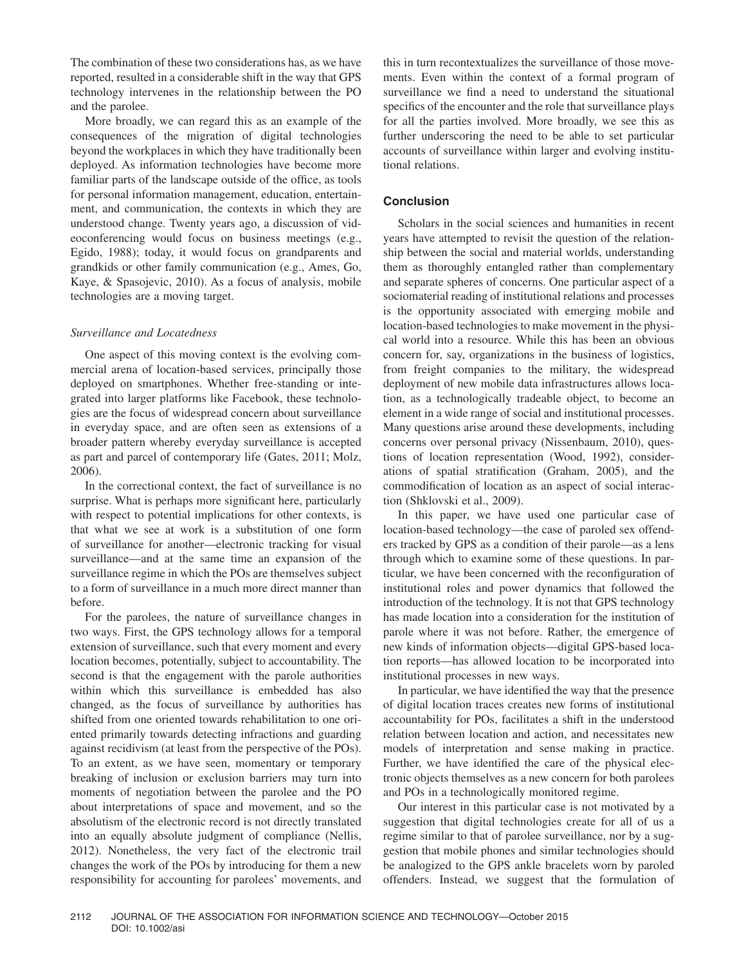The combination of these two considerations has, as we have reported, resulted in a considerable shift in the way that GPS technology intervenes in the relationship between the PO and the parolee.

More broadly, we can regard this as an example of the consequences of the migration of digital technologies beyond the workplaces in which they have traditionally been deployed. As information technologies have become more familiar parts of the landscape outside of the office, as tools for personal information management, education, entertainment, and communication, the contexts in which they are understood change. Twenty years ago, a discussion of videoconferencing would focus on business meetings (e.g., Egido, 1988); today, it would focus on grandparents and grandkids or other family communication (e.g., Ames, Go, Kaye, & Spasojevic, 2010). As a focus of analysis, mobile technologies are a moving target.

#### *Surveillance and Locatedness*

One aspect of this moving context is the evolving commercial arena of location-based services, principally those deployed on smartphones. Whether free-standing or integrated into larger platforms like Facebook, these technologies are the focus of widespread concern about surveillance in everyday space, and are often seen as extensions of a broader pattern whereby everyday surveillance is accepted as part and parcel of contemporary life (Gates, 2011; Molz, 2006).

In the correctional context, the fact of surveillance is no surprise. What is perhaps more significant here, particularly with respect to potential implications for other contexts, is that what we see at work is a substitution of one form of surveillance for another—electronic tracking for visual surveillance—and at the same time an expansion of the surveillance regime in which the POs are themselves subject to a form of surveillance in a much more direct manner than before.

For the parolees, the nature of surveillance changes in two ways. First, the GPS technology allows for a temporal extension of surveillance, such that every moment and every location becomes, potentially, subject to accountability. The second is that the engagement with the parole authorities within which this surveillance is embedded has also changed, as the focus of surveillance by authorities has shifted from one oriented towards rehabilitation to one oriented primarily towards detecting infractions and guarding against recidivism (at least from the perspective of the POs). To an extent, as we have seen, momentary or temporary breaking of inclusion or exclusion barriers may turn into moments of negotiation between the parolee and the PO about interpretations of space and movement, and so the absolutism of the electronic record is not directly translated into an equally absolute judgment of compliance (Nellis, 2012). Nonetheless, the very fact of the electronic trail changes the work of the POs by introducing for them a new responsibility for accounting for parolees' movements, and this in turn recontextualizes the surveillance of those movements. Even within the context of a formal program of surveillance we find a need to understand the situational specifics of the encounter and the role that surveillance plays for all the parties involved. More broadly, we see this as further underscoring the need to be able to set particular accounts of surveillance within larger and evolving institutional relations.

# **Conclusion**

Scholars in the social sciences and humanities in recent years have attempted to revisit the question of the relationship between the social and material worlds, understanding them as thoroughly entangled rather than complementary and separate spheres of concerns. One particular aspect of a sociomaterial reading of institutional relations and processes is the opportunity associated with emerging mobile and location-based technologies to make movement in the physical world into a resource. While this has been an obvious concern for, say, organizations in the business of logistics, from freight companies to the military, the widespread deployment of new mobile data infrastructures allows location, as a technologically tradeable object, to become an element in a wide range of social and institutional processes. Many questions arise around these developments, including concerns over personal privacy (Nissenbaum, 2010), questions of location representation (Wood, 1992), considerations of spatial stratification (Graham, 2005), and the commodification of location as an aspect of social interaction (Shklovski et al., 2009).

In this paper, we have used one particular case of location-based technology—the case of paroled sex offenders tracked by GPS as a condition of their parole—as a lens through which to examine some of these questions. In particular, we have been concerned with the reconfiguration of institutional roles and power dynamics that followed the introduction of the technology. It is not that GPS technology has made location into a consideration for the institution of parole where it was not before. Rather, the emergence of new kinds of information objects—digital GPS-based location reports—has allowed location to be incorporated into institutional processes in new ways.

In particular, we have identified the way that the presence of digital location traces creates new forms of institutional accountability for POs, facilitates a shift in the understood relation between location and action, and necessitates new models of interpretation and sense making in practice. Further, we have identified the care of the physical electronic objects themselves as a new concern for both parolees and POs in a technologically monitored regime.

Our interest in this particular case is not motivated by a suggestion that digital technologies create for all of us a regime similar to that of parolee surveillance, nor by a suggestion that mobile phones and similar technologies should be analogized to the GPS ankle bracelets worn by paroled offenders. Instead, we suggest that the formulation of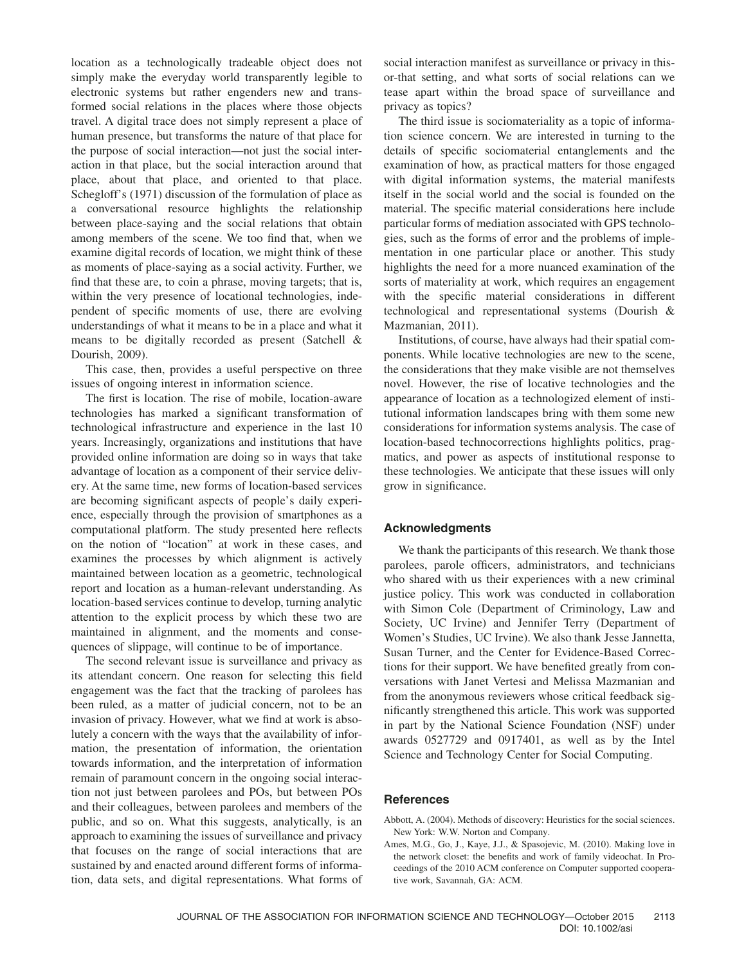location as a technologically tradeable object does not simply make the everyday world transparently legible to electronic systems but rather engenders new and transformed social relations in the places where those objects travel. A digital trace does not simply represent a place of human presence, but transforms the nature of that place for the purpose of social interaction—not just the social interaction in that place, but the social interaction around that place, about that place, and oriented to that place. Schegloff's (1971) discussion of the formulation of place as a conversational resource highlights the relationship between place-saying and the social relations that obtain among members of the scene. We too find that, when we examine digital records of location, we might think of these as moments of place-saying as a social activity. Further, we find that these are, to coin a phrase, moving targets; that is, within the very presence of locational technologies, independent of specific moments of use, there are evolving understandings of what it means to be in a place and what it means to be digitally recorded as present (Satchell & Dourish, 2009).

This case, then, provides a useful perspective on three issues of ongoing interest in information science.

The first is location. The rise of mobile, location-aware technologies has marked a significant transformation of technological infrastructure and experience in the last 10 years. Increasingly, organizations and institutions that have provided online information are doing so in ways that take advantage of location as a component of their service delivery. At the same time, new forms of location-based services are becoming significant aspects of people's daily experience, especially through the provision of smartphones as a computational platform. The study presented here reflects on the notion of "location" at work in these cases, and examines the processes by which alignment is actively maintained between location as a geometric, technological report and location as a human-relevant understanding. As location-based services continue to develop, turning analytic attention to the explicit process by which these two are maintained in alignment, and the moments and consequences of slippage, will continue to be of importance.

The second relevant issue is surveillance and privacy as its attendant concern. One reason for selecting this field engagement was the fact that the tracking of parolees has been ruled, as a matter of judicial concern, not to be an invasion of privacy. However, what we find at work is absolutely a concern with the ways that the availability of information, the presentation of information, the orientation towards information, and the interpretation of information remain of paramount concern in the ongoing social interaction not just between parolees and POs, but between POs and their colleagues, between parolees and members of the public, and so on. What this suggests, analytically, is an approach to examining the issues of surveillance and privacy that focuses on the range of social interactions that are sustained by and enacted around different forms of information, data sets, and digital representations. What forms of social interaction manifest as surveillance or privacy in thisor-that setting, and what sorts of social relations can we tease apart within the broad space of surveillance and privacy as topics?

The third issue is sociomateriality as a topic of information science concern. We are interested in turning to the details of specific sociomaterial entanglements and the examination of how, as practical matters for those engaged with digital information systems, the material manifests itself in the social world and the social is founded on the material. The specific material considerations here include particular forms of mediation associated with GPS technologies, such as the forms of error and the problems of implementation in one particular place or another. This study highlights the need for a more nuanced examination of the sorts of materiality at work, which requires an engagement with the specific material considerations in different technological and representational systems (Dourish & Mazmanian, 2011).

Institutions, of course, have always had their spatial components. While locative technologies are new to the scene, the considerations that they make visible are not themselves novel. However, the rise of locative technologies and the appearance of location as a technologized element of institutional information landscapes bring with them some new considerations for information systems analysis. The case of location-based technocorrections highlights politics, pragmatics, and power as aspects of institutional response to these technologies. We anticipate that these issues will only grow in significance.

## **Acknowledgments**

We thank the participants of this research. We thank those parolees, parole officers, administrators, and technicians who shared with us their experiences with a new criminal justice policy. This work was conducted in collaboration with Simon Cole (Department of Criminology, Law and Society, UC Irvine) and Jennifer Terry (Department of Women's Studies, UC Irvine). We also thank Jesse Jannetta, Susan Turner, and the Center for Evidence-Based Corrections for their support. We have benefited greatly from conversations with Janet Vertesi and Melissa Mazmanian and from the anonymous reviewers whose critical feedback significantly strengthened this article. This work was supported in part by the National Science Foundation (NSF) under awards 0527729 and 0917401, as well as by the Intel Science and Technology Center for Social Computing.

#### **References**

Abbott, A. (2004). Methods of discovery: Heuristics for the social sciences. New York: W.W. Norton and Company.

Ames, M.G., Go, J., Kaye, J.J., & Spasojevic, M. (2010). Making love in the network closet: the benefits and work of family videochat. In Proceedings of the 2010 ACM conference on Computer supported cooperative work, Savannah, GA: ACM.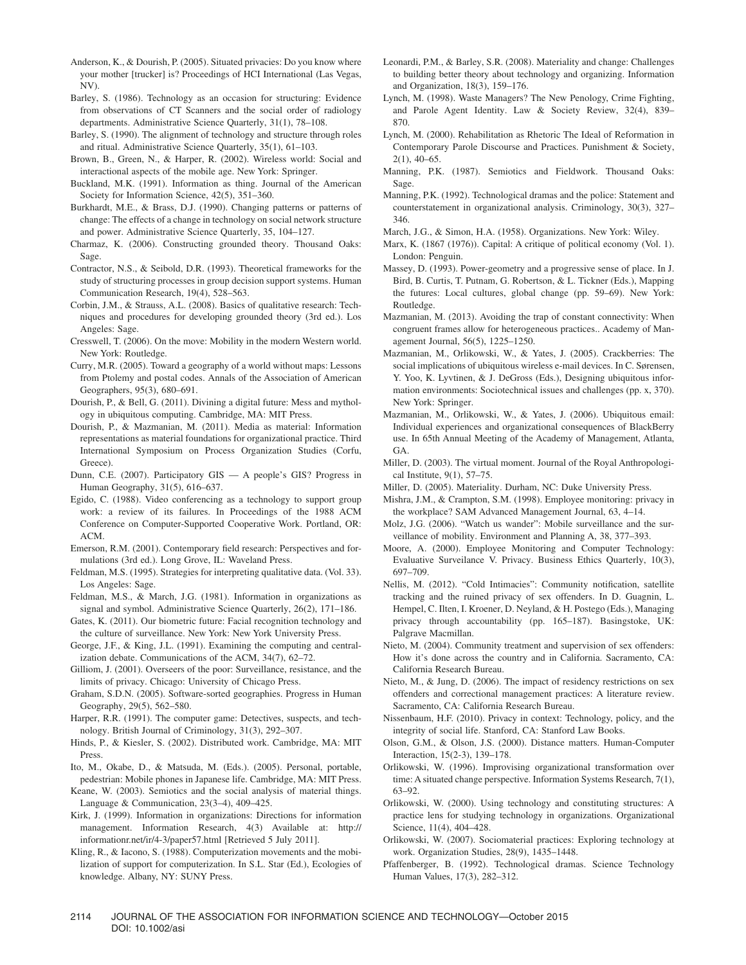- Anderson, K., & Dourish, P. (2005). Situated privacies: Do you know where your mother [trucker] is? Proceedings of HCI International (Las Vegas, NV).
- Barley, S. (1986). Technology as an occasion for structuring: Evidence from observations of CT Scanners and the social order of radiology departments. Administrative Science Quarterly, 31(1), 78–108.
- Barley, S. (1990). The alignment of technology and structure through roles and ritual. Administrative Science Quarterly, 35(1), 61–103.
- Brown, B., Green, N., & Harper, R. (2002). Wireless world: Social and interactional aspects of the mobile age. New York: Springer.
- Buckland, M.K. (1991). Information as thing. Journal of the American Society for Information Science, 42(5), 351–360.
- Burkhardt, M.E., & Brass, D.J. (1990). Changing patterns or patterns of change: The effects of a change in technology on social network structure and power. Administrative Science Quarterly, 35, 104–127.
- Charmaz, K. (2006). Constructing grounded theory. Thousand Oaks: Sage.
- Contractor, N.S., & Seibold, D.R. (1993). Theoretical frameworks for the study of structuring processes in group decision support systems. Human Communication Research, 19(4), 528–563.
- Corbin, J.M., & Strauss, A.L. (2008). Basics of qualitative research: Techniques and procedures for developing grounded theory (3rd ed.). Los Angeles: Sage.
- Cresswell, T. (2006). On the move: Mobility in the modern Western world. New York: Routledge.
- Curry, M.R. (2005). Toward a geography of a world without maps: Lessons from Ptolemy and postal codes. Annals of the Association of American Geographers, 95(3), 680–691.
- Dourish, P., & Bell, G. (2011). Divining a digital future: Mess and mythology in ubiquitous computing. Cambridge, MA: MIT Press.
- Dourish, P., & Mazmanian, M. (2011). Media as material: Information representations as material foundations for organizational practice. Third International Symposium on Process Organization Studies (Corfu, Greece).
- Dunn, C.E. (2007). Participatory GIS A people's GIS? Progress in Human Geography, 31(5), 616–637.
- Egido, C. (1988). Video conferencing as a technology to support group work: a review of its failures. In Proceedings of the 1988 ACM Conference on Computer-Supported Cooperative Work. Portland, OR: ACM.
- Emerson, R.M. (2001). Contemporary field research: Perspectives and formulations (3rd ed.). Long Grove, IL: Waveland Press.
- Feldman, M.S. (1995). Strategies for interpreting qualitative data. (Vol. 33). Los Angeles: Sage.
- Feldman, M.S., & March, J.G. (1981). Information in organizations as signal and symbol. Administrative Science Quarterly, 26(2), 171–186.
- Gates, K. (2011). Our biometric future: Facial recognition technology and the culture of surveillance. New York: New York University Press.
- George, J.F., & King, J.L. (1991). Examining the computing and centralization debate. Communications of the ACM, 34(7), 62–72.
- Gilliom, J. (2001). Overseers of the poor: Surveillance, resistance, and the limits of privacy. Chicago: University of Chicago Press.
- Graham, S.D.N. (2005). Software-sorted geographies. Progress in Human Geography, 29(5), 562–580.
- Harper, R.R. (1991). The computer game: Detectives, suspects, and technology. British Journal of Criminology, 31(3), 292–307.
- Hinds, P., & Kiesler, S. (2002). Distributed work. Cambridge, MA: MIT Press.
- Ito, M., Okabe, D., & Matsuda, M. (Eds.). (2005). Personal, portable, pedestrian: Mobile phones in Japanese life. Cambridge, MA: MIT Press.
- Keane, W. (2003). Semiotics and the social analysis of material things. Language & Communication, 23(3–4), 409–425.
- Kirk, J. (1999). Information in organizations: Directions for information management. Information Research, 4(3) Available at: [http://](http://informationr.net/ir/4-3/paper57.html) [informationr.net/ir/4-3/paper57.html](http://informationr.net/ir/4-3/paper57.html) [Retrieved 5 July 2011].
- Kling, R., & Iacono, S. (1988). Computerization movements and the mobilization of support for computerization. In S.L. Star (Ed.), Ecologies of knowledge. Albany, NY: SUNY Press.
- Leonardi, P.M., & Barley, S.R. (2008). Materiality and change: Challenges to building better theory about technology and organizing. Information and Organization, 18(3), 159–176.
- Lynch, M. (1998). Waste Managers? The New Penology, Crime Fighting, and Parole Agent Identity. Law & Society Review, 32(4), 839– 870.
- Lynch, M. (2000). Rehabilitation as Rhetoric The Ideal of Reformation in Contemporary Parole Discourse and Practices. Punishment & Society, 2(1), 40–65.
- Manning, P.K. (1987). Semiotics and Fieldwork. Thousand Oaks: Sage.
- Manning, P.K. (1992). Technological dramas and the police: Statement and counterstatement in organizational analysis. Criminology, 30(3), 327– 346.
- March, J.G., & Simon, H.A. (1958). Organizations. New York: Wiley.
- Marx, K. (1867 (1976)). Capital: A critique of political economy (Vol. 1). London: Penguin.
- Massey, D. (1993). Power-geometry and a progressive sense of place. In J. Bird, B. Curtis, T. Putnam, G. Robertson, & L. Tickner (Eds.), Mapping the futures: Local cultures, global change (pp. 59–69). New York: Routledge.
- Mazmanian, M. (2013). Avoiding the trap of constant connectivity: When congruent frames allow for heterogeneous practices.. Academy of Management Journal, 56(5), 1225–1250.
- Mazmanian, M., Orlikowski, W., & Yates, J. (2005). Crackberries: The social implications of ubiquitous wireless e-mail devices. In C. Sørensen, Y. Yoo, K. Lyvtinen, & J. DeGross (Eds.), Designing ubiquitous information environments: Sociotechnical issues and challenges (pp. x, 370). New York: Springer.
- Mazmanian, M., Orlikowski, W., & Yates, J. (2006). Ubiquitous email: Individual experiences and organizational consequences of BlackBerry use. In 65th Annual Meeting of the Academy of Management, Atlanta, GA.
- Miller, D. (2003). The virtual moment. Journal of the Royal Anthropological Institute, 9(1), 57–75.
- Miller, D. (2005). Materiality. Durham, NC: Duke University Press.
- Mishra, J.M., & Crampton, S.M. (1998). Employee monitoring: privacy in the workplace? SAM Advanced Management Journal, 63, 4–14.
- Molz, J.G. (2006). "Watch us wander": Mobile surveillance and the surveillance of mobility. Environment and Planning A, 38, 377–393.
- Moore, A. (2000). Employee Monitoring and Computer Technology: Evaluative Surveilance V. Privacy. Business Ethics Quarterly, 10(3), 697–709.
- Nellis, M. (2012). "Cold Intimacies": Community notification, satellite tracking and the ruined privacy of sex offenders. In D. Guagnin, L. Hempel, C. Ilten, I. Kroener, D. Neyland, & H. Postego (Eds.), Managing privacy through accountability (pp. 165–187). Basingstoke, UK: Palgrave Macmillan.
- Nieto, M. (2004). Community treatment and supervision of sex offenders: How it's done across the country and in California. Sacramento, CA: California Research Bureau.
- Nieto, M., & Jung, D. (2006). The impact of residency restrictions on sex offenders and correctional management practices: A literature review. Sacramento, CA: California Research Bureau.
- Nissenbaum, H.F. (2010). Privacy in context: Technology, policy, and the integrity of social life. Stanford, CA: Stanford Law Books.
- Olson, G.M., & Olson, J.S. (2000). Distance matters. Human-Computer Interaction, 15(2-3), 139–178.
- Orlikowski, W. (1996). Improvising organizational transformation over time: A situated change perspective. Information Systems Research, 7(1), 63–92.
- Orlikowski, W. (2000). Using technology and constituting structures: A practice lens for studying technology in organizations. Organizational Science, 11(4), 404–428.
- Orlikowski, W. (2007). Sociomaterial practices: Exploring technology at work. Organization Studies, 28(9), 1435–1448.
- Pfaffenberger, B. (1992). Technological dramas. Science Technology Human Values, 17(3), 282–312.